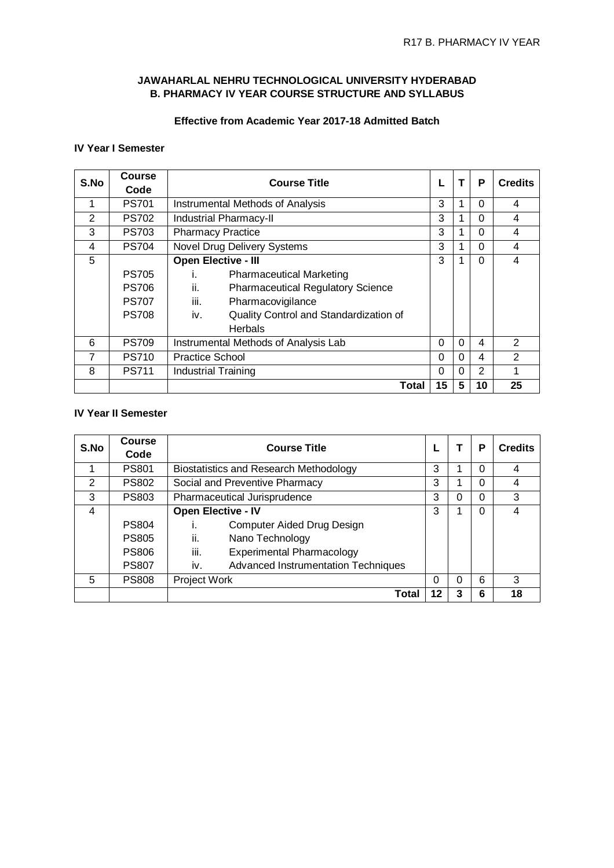# **JAWAHARLAL NEHRU TECHNOLOGICAL UNIVERSITY HYDERABAD B. PHARMACY IV YEAR COURSE STRUCTURE AND SYLLABUS**

# **Effective from Academic Year 2017-18 Admitted Batch**

### **IV Year I Semester**

| S.No | <b>Course</b><br>Code | <b>Course Title</b>                             |          | т        | P              | <b>Credits</b> |
|------|-----------------------|-------------------------------------------------|----------|----------|----------------|----------------|
|      | <b>PS701</b>          | Instrumental Methods of Analysis                | 3        |          | $\Omega$       | 4              |
| 2    | <b>PS702</b>          | <b>Industrial Pharmacy-II</b>                   | 3        | 1        | $\Omega$       | 4              |
| 3    | <b>PS703</b>          | <b>Pharmacy Practice</b>                        | 3        |          | $\Omega$       | 4              |
| 4    | <b>PS704</b>          | Novel Drug Delivery Systems                     | 3        | 1        | $\Omega$       | 4              |
| 5    |                       | Open Elective - III                             | 3        | 1        | $\Omega$       | 4              |
|      | <b>PS705</b>          | <b>Pharmaceutical Marketing</b><br>İ.           |          |          |                |                |
|      | <b>PS706</b>          | ii.<br><b>Pharmaceutical Regulatory Science</b> |          |          |                |                |
|      | <b>PS707</b>          | iii.<br>Pharmacovigilance                       |          |          |                |                |
|      | <b>PS708</b>          | iv.<br>Quality Control and Standardization of   |          |          |                |                |
|      |                       | <b>Herbals</b>                                  |          |          |                |                |
| 6    | <b>PS709</b>          | Instrumental Methods of Analysis Lab            | 0        | $\Omega$ | 4              | 2              |
| 7    | <b>PS710</b>          | <b>Practice School</b>                          | $\Omega$ | $\Omega$ | 4              | 2              |
| 8    | <b>PS711</b>          | <b>Industrial Training</b>                      | 0        | $\Omega$ | $\overline{2}$ |                |
|      |                       | Total                                           | 15       | 5        | 10             | 25             |

# **IV Year II Semester**

| S.No           | <b>Course</b><br>Code | <b>Course Title</b>                           |    |   | P        | <b>Credits</b> |
|----------------|-----------------------|-----------------------------------------------|----|---|----------|----------------|
|                | <b>PS801</b>          | <b>Biostatistics and Research Methodology</b> | 3  |   | $\Omega$ | 4              |
| 2              | <b>PS802</b>          | Social and Preventive Pharmacy                | 3  |   | $\Omega$ | 4              |
| 3              | <b>PS803</b>          | Pharmaceutical Jurisprudence                  | 3  | 0 | $\Omega$ | 3              |
| $\overline{4}$ |                       | <b>Open Elective - IV</b>                     | 3  |   | $\Omega$ |                |
|                | <b>PS804</b>          | Computer Aided Drug Design                    |    |   |          |                |
|                | <b>PS805</b>          | ii.<br>Nano Technology                        |    |   |          |                |
|                | <b>PS806</b>          | iii.<br><b>Experimental Pharmacology</b>      |    |   |          |                |
|                | <b>PS807</b>          | Advanced Instrumentation Techniques<br>İV.    |    |   |          |                |
| 5              | <b>PS808</b>          | Project Work                                  | 0  | 0 | 6        | 3              |
|                |                       | Total                                         | 12 | 3 | 6        | 18             |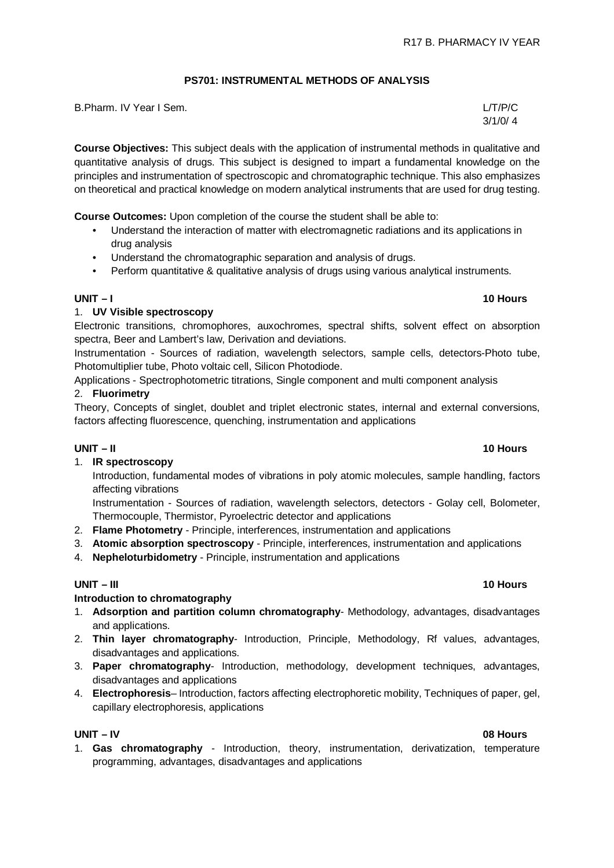# **PS701: INSTRUMENTAL METHODS OF ANALYSIS**

| B.Pharm. IV Year I Sem. | L/T/P/C |
|-------------------------|---------|
|                         | 3/1/0/4 |

**Course Objectives:** This subject deals with the application of instrumental methods in qualitative and quantitative analysis of drugs. This subject is designed to impart a fundamental knowledge on the principles and instrumentation of spectroscopic and chromatographic technique. This also emphasizes on theoretical and practical knowledge on modern analytical instruments that are used for drug testing.

**Course Outcomes:** Upon completion of the course the student shall be able to:

- Understand the interaction of matter with electromagnetic radiations and its applications in drug analysis
- Understand the chromatographic separation and analysis of drugs.
- Perform quantitative & qualitative analysis of drugs using various analytical instruments.

# **UNIT – I 10 Hours**

### 1. **UV Visible spectroscopy**

Electronic transitions, chromophores, auxochromes, spectral shifts, solvent effect on absorption spectra, Beer and Lambert's law, Derivation and deviations.

Instrumentation - Sources of radiation, wavelength selectors, sample cells, detectors-Photo tube, Photomultiplier tube, Photo voltaic cell, Silicon Photodiode.

Applications - Spectrophotometric titrations, Single component and multi component analysis

### 2. **Fluorimetry**

Theory, Concepts of singlet, doublet and triplet electronic states, internal and external conversions, factors affecting fluorescence, quenching, instrumentation and applications

### **UNIT – II 10 Hours**

1. **IR spectroscopy**

Introduction, fundamental modes of vibrations in poly atomic molecules, sample handling, factors affecting vibrations

Instrumentation - Sources of radiation, wavelength selectors, detectors - Golay cell, Bolometer, Thermocouple, Thermistor, Pyroelectric detector and applications

- 2. **Flame Photometry** Principle, interferences, instrumentation and applications
- 3. **Atomic absorption spectroscopy** Principle, interferences, instrumentation and applications
- 4. **Nepheloturbidometry** Principle, instrumentation and applications

### **UNIT – III 10 Hours**

### **Introduction to chromatography**

- 1. **Adsorption and partition column chromatography** Methodology, advantages, disadvantages and applications.
- 2. **Thin layer chromatography** Introduction, Principle, Methodology, Rf values, advantages, disadvantages and applications.
- 3. **Paper chromatography** Introduction, methodology, development techniques, advantages, disadvantages and applications
- 4. **Electrophoresis** Introduction, factors affecting electrophoretic mobility, Techniques of paper, gel, capillary electrophoresis, applications

### **UNIT – IV 08 Hours**

1. **Gas chromatography** - Introduction, theory, instrumentation, derivatization, temperature programming, advantages, disadvantages and applications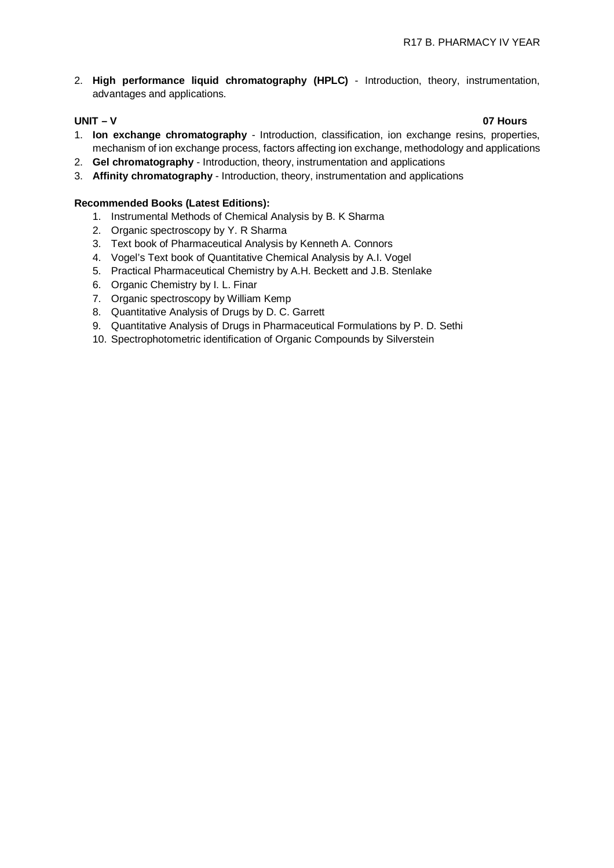2. **High performance liquid chromatography (HPLC)** - Introduction, theory, instrumentation, advantages and applications.

### **UNIT – V 07 Hours**

- 1. **Ion exchange chromatography** Introduction, classification, ion exchange resins, properties, mechanism of ion exchange process, factors affecting ion exchange, methodology and applications
- 2. **Gel chromatography** Introduction, theory, instrumentation and applications
- 3. **Affinity chromatography** Introduction, theory, instrumentation and applications

### **Recommended Books (Latest Editions):**

- 1. Instrumental Methods of Chemical Analysis by B. K Sharma
- 2. Organic spectroscopy by Y. R Sharma
- 3. Text book of Pharmaceutical Analysis by Kenneth A. Connors
- 4. Vogel's Text book of Quantitative Chemical Analysis by A.I. Vogel
- 5. Practical Pharmaceutical Chemistry by A.H. Beckett and J.B. Stenlake
- 6. Organic Chemistry by I. L. Finar
- 7. Organic spectroscopy by William Kemp
- 8. Quantitative Analysis of Drugs by D. C. Garrett
- 9. Quantitative Analysis of Drugs in Pharmaceutical Formulations by P. D. Sethi
- 10. Spectrophotometric identification of Organic Compounds by Silverstein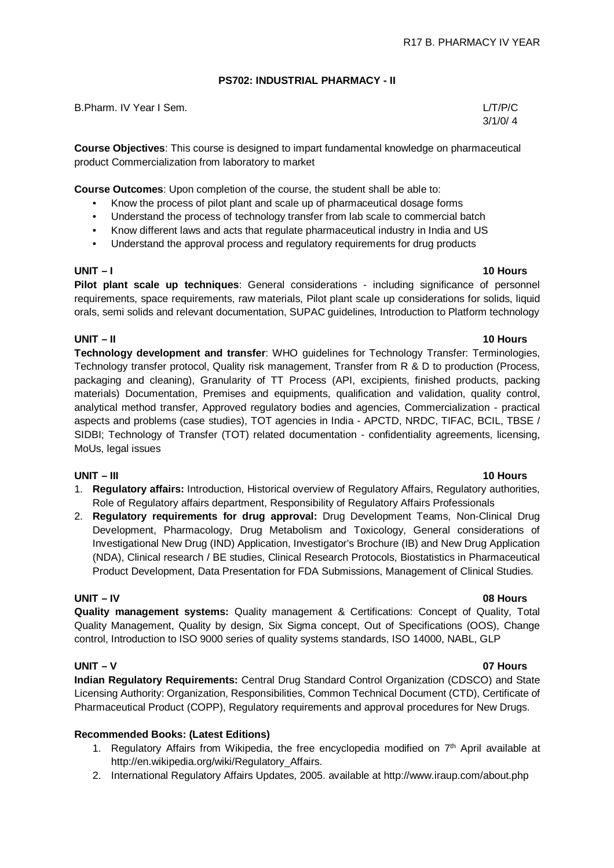### **PS702: INDUSTRIAL PHARMACY - II**

| B.Pharm. IV Year I Sem. | L/T/P/C |
|-------------------------|---------|
|-------------------------|---------|

3/1/0/ 4

**Course Objectives**: This course is designed to impart fundamental knowledge on pharmaceutical product Commercialization from laboratory to market

**Course Outcomes**: Upon completion of the course, the student shall be able to:

- Know the process of pilot plant and scale up of pharmaceutical dosage forms
- Understand the process of technology transfer from lab scale to commercial batch
- Know different laws and acts that regulate pharmaceutical industry in India and US
- Understand the approval process and regulatory requirements for drug products

**Pilot plant scale up techniques**: General considerations - including significance of personnel requirements, space requirements, raw materials, Pilot plant scale up considerations for solids, liquid orals, semi solids and relevant documentation, SUPAC guidelines, Introduction to Platform technology

### **UNIT – II 10 Hours**

**Technology development and transfer**: WHO guidelines for Technology Transfer: Terminologies, Technology transfer protocol, Quality risk management, Transfer from R & D to production (Process, packaging and cleaning), Granularity of TT Process (API, excipients, finished products, packing materials) Documentation, Premises and equipments, qualification and validation, quality control, analytical method transfer, Approved regulatory bodies and agencies, Commercialization - practical aspects and problems (case studies), TOT agencies in India - APCTD, NRDC, TIFAC, BCIL, TBSE / SIDBI; Technology of Transfer (TOT) related documentation - confidentiality agreements, licensing, MoUs, legal issues

### **UNIT – III 10 Hours**

- 1. **Regulatory affairs:** Introduction, Historical overview of Regulatory Affairs, Regulatory authorities, Role of Regulatory affairs department, Responsibility of Regulatory Affairs Professionals
- 2. **Regulatory requirements for drug approval:** Drug Development Teams, Non-Clinical Drug Development, Pharmacology, Drug Metabolism and Toxicology, General considerations of Investigational New Drug (IND) Application, Investigator's Brochure (IB) and New Drug Application (NDA), Clinical research / BE studies, Clinical Research Protocols, Biostatistics in Pharmaceutical Product Development, Data Presentation for FDA Submissions, Management of Clinical Studies.

### **UNIT – IV 08 Hours**

**Quality management systems:** Quality management & Certifications: Concept of Quality, Total Quality Management, Quality by design, Six Sigma concept, Out of Specifications (OOS), Change control, Introduction to ISO 9000 series of quality systems standards, ISO 14000, NABL, GLP

**Indian Regulatory Requirements:** Central Drug Standard Control Organization (CDSCO) and State Licensing Authority: Organization, Responsibilities, Common Technical Document (CTD), Certificate of Pharmaceutical Product (COPP), Regulatory requirements and approval procedures for New Drugs.

### **Recommended Books: (Latest Editions)**

- 1. Regulatory Affairs from Wikipedia, the free encyclopedia modified on 7<sup>th</sup> April available at [http://en.wikipedia.org/wiki/Regulatory\\_Affairs.](http://en.wikipedia.org/wiki/Regulatory_Affairs.)
- 2. International Regulatory Affairs Updates, 2005. available at <http://www.iraup.com/about.php>

### **UNIT – V 07 Hours**

### **UNIT – I 10 Hours**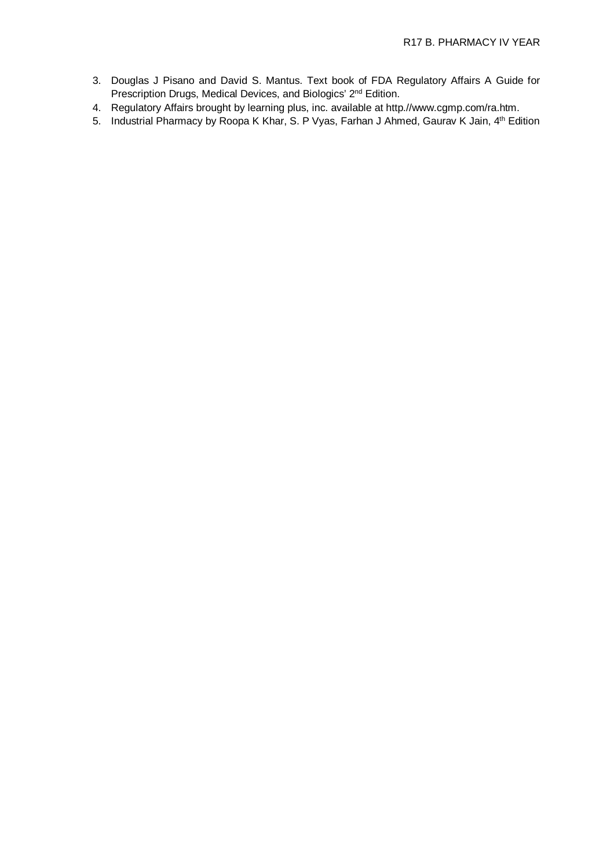- 3. Douglas J Pisano and David S. Mantus. Text book of FDA Regulatory Affairs A Guide for Prescription Drugs, Medical Devices, and Biologics' 2<sup>nd</sup> Edition.
- 4. Regulatory Affairs brought by learning plus, inc. available at http./[/www.cgmp.com/ra.htm.](http://www.cgmp.com/ra.htm.)
- 5. Industrial Pharmacy by Roopa K Khar, S. P Vyas, Farhan J Ahmed, Gaurav K Jain, 4<sup>th</sup> Edition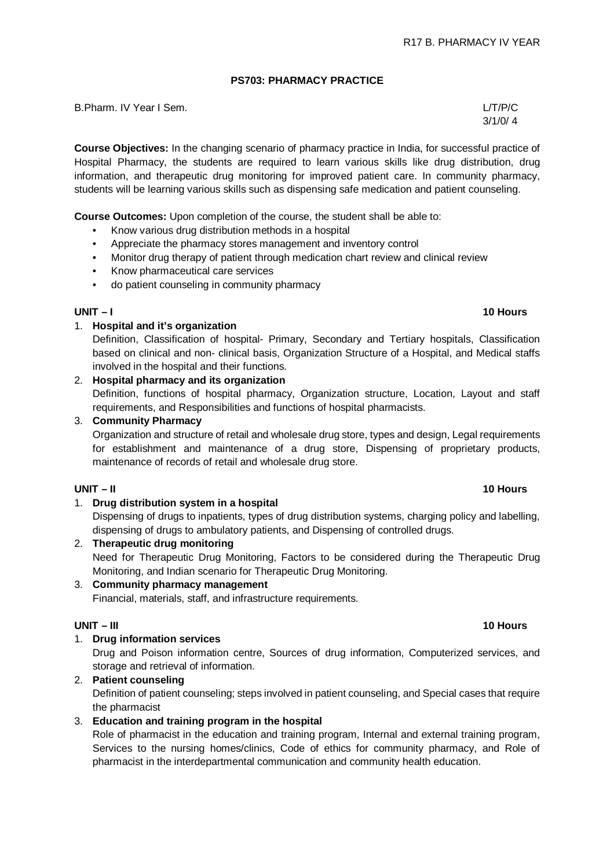### **PS703: PHARMACY PRACTICE**

B.Pharm. IV Year I Sem. L/T/P/C

**Course Objectives:** In the changing scenario of pharmacy practice in India, for successful practice of Hospital Pharmacy, the students are required to learn various skills like drug distribution, drug information, and therapeutic drug monitoring for improved patient care. In community pharmacy, students will be learning various skills such as dispensing safe medication and patient counseling.

**Course Outcomes:** Upon completion of the course, the student shall be able to:

- Know various drug distribution methods in a hospital
- Appreciate the pharmacy stores management and inventory control
- Monitor drug therapy of patient through medication chart review and clinical review
- Know pharmaceutical care services
- do patient counseling in community pharmacy

### **UNIT – I 10 Hours**

# 1. **Hospital and it's organization**

Definition, Classification of hospital- Primary, Secondary and Tertiary hospitals, Classification based on clinical and non- clinical basis, Organization Structure of a Hospital, and Medical staffs involved in the hospital and their functions.

# 2. **Hospital pharmacy and its organization**

Definition, functions of hospital pharmacy, Organization structure, Location, Layout and staff requirements, and Responsibilities and functions of hospital pharmacists.

### 3. **Community Pharmacy**

Organization and structure of retail and wholesale drug store, types and design, Legal requirements for establishment and maintenance of a drug store, Dispensing of proprietary products, maintenance of records of retail and wholesale drug store.

# 1. **Drug distribution system in a hospital**

Dispensing of drugs to inpatients, types of drug distribution systems, charging policy and labelling, dispensing of drugs to ambulatory patients, and Dispensing of controlled drugs.

2. **Therapeutic drug monitoring** Need for Therapeutic Drug Monitoring, Factors to be considered during the Therapeutic Drug Monitoring, and Indian scenario for Therapeutic Drug Monitoring.

# 3. **Community pharmacy management**

Financial, materials, staff, and infrastructure requirements.

## **UNIT – III 10 Hours**

### 1. **Drug information services**

Drug and Poison information centre, Sources of drug information, Computerized services, and storage and retrieval of information.

# 2. **Patient counseling**

Definition of patient counseling; steps involved in patient counseling, and Special cases that require the pharmacist

3. **Education and training program in the hospital**

Role of pharmacist in the education and training program, Internal and external training program, Services to the nursing homes/clinics, Code of ethics for community pharmacy, and Role of pharmacist in the interdepartmental communication and community health education.

### **UNIT – II 10 Hours**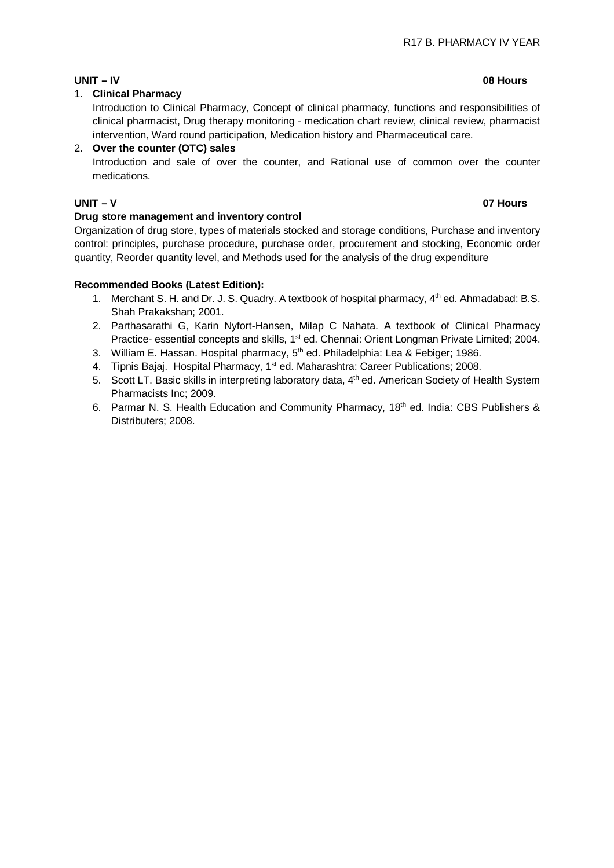# **UNIT – IV 08 Hours**

# 1. **Clinical Pharmacy**

Introduction to Clinical Pharmacy, Concept of clinical pharmacy, functions and responsibilities of clinical pharmacist, Drug therapy monitoring - medication chart review, clinical review, pharmacist intervention, Ward round participation, Medication history and Pharmaceutical care.

# 2. **Over the counter (OTC) sales**

Introduction and sale of over the counter, and Rational use of common over the counter medications.

# **UNIT – V 07 Hours**

# **Drug store management and inventory control**

Organization of drug store, types of materials stocked and storage conditions, Purchase and inventory control: principles, purchase procedure, purchase order, procurement and stocking, Economic order quantity, Reorder quantity level, and Methods used for the analysis of the drug expenditure

# **Recommended Books (Latest Edition):**

- 1. Merchant S. H. and Dr. J. S. Quadry. A textbook of hospital pharmacy, 4<sup>th</sup> ed. Ahmadabad: B.S. Shah Prakakshan; 2001.
- 2. Parthasarathi G, Karin Nyfort-Hansen, Milap C Nahata. A textbook of Clinical Pharmacy Practice- essential concepts and skills, 1<sup>st</sup> ed. Chennai: Orient Longman Private Limited; 2004.
- 3. William E. Hassan. Hospital pharmacy, 5<sup>th</sup> ed. Philadelphia: Lea & Febiger; 1986.
- 4. Tipnis Bajaj. Hospital Pharmacy, 1<sup>st</sup> ed. Maharashtra: Career Publications; 2008.
- 5. Scott LT. Basic skills in interpreting laboratory data, 4<sup>th</sup> ed. American Society of Health System Pharmacists Inc; 2009.
- 6. Parmar N. S. Health Education and Community Pharmacy, 18<sup>th</sup> ed. India: CBS Publishers & Distributers; 2008.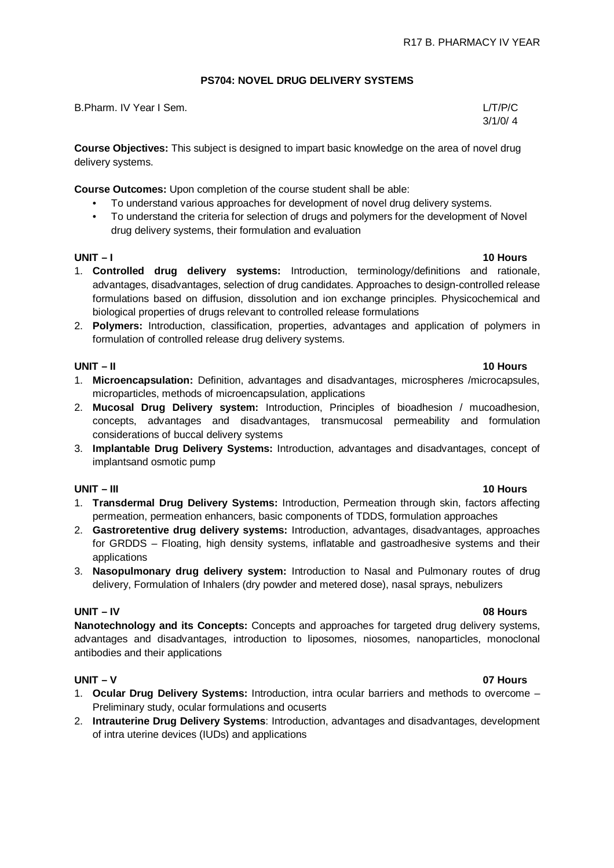# **PS704: NOVEL DRUG DELIVERY SYSTEMS**

| B.Pharm. IV Year I Sem. | L/T/P/C |
|-------------------------|---------|
|                         | 3/1/0/4 |

**Course Objectives:** This subject is designed to impart basic knowledge on the area of novel drug delivery systems.

**Course Outcomes:** Upon completion of the course student shall be able:

- To understand various approaches for development of novel drug delivery systems.
- To understand the criteria for selection of drugs and polymers for the development of Novel drug delivery systems, their formulation and evaluation

### **UNIT – I 10 Hours**

- 1. **Controlled drug delivery systems:** Introduction, terminology/definitions and rationale, advantages, disadvantages, selection of drug candidates. Approaches to design-controlled release formulations based on diffusion, dissolution and ion exchange principles. Physicochemical and biological properties of drugs relevant to controlled release formulations
- 2. **Polymers:** Introduction, classification, properties, advantages and application of polymers in formulation of controlled release drug delivery systems.

### **UNIT – II 10 Hours**

- 1. **Microencapsulation:** Definition, advantages and disadvantages, microspheres /microcapsules, microparticles, methods of microencapsulation, applications
- 2. **Mucosal Drug Delivery system:** Introduction, Principles of bioadhesion / mucoadhesion, concepts, advantages and disadvantages, transmucosal permeability and formulation considerations of buccal delivery systems
- 3. **Implantable Drug Delivery Systems:** Introduction, advantages and disadvantages, concept of implantsand osmotic pump

# **UNIT – III 10 Hours**

- 1. **Transdermal Drug Delivery Systems:** Introduction, Permeation through skin, factors affecting permeation, permeation enhancers, basic components of TDDS, formulation approaches
- 2. **Gastroretentive drug delivery systems:** Introduction, advantages, disadvantages, approaches for GRDDS – Floating, high density systems, inflatable and gastroadhesive systems and their applications
- 3. **Nasopulmonary drug delivery system:** Introduction to Nasal and Pulmonary routes of drug delivery, Formulation of Inhalers (dry powder and metered dose), nasal sprays, nebulizers

### **UNIT – IV 08 Hours**

**Nanotechnology and its Concepts:** Concepts and approaches for targeted drug delivery systems, advantages and disadvantages, introduction to liposomes, niosomes, nanoparticles, monoclonal antibodies and their applications

- 1. **Ocular Drug Delivery Systems:** Introduction, intra ocular barriers and methods to overcome Preliminary study, ocular formulations and ocuserts
- 2. **Intrauterine Drug Delivery Systems**: Introduction, advantages and disadvantages, development of intra uterine devices (IUDs) and applications

# **UNIT – V 07 Hours**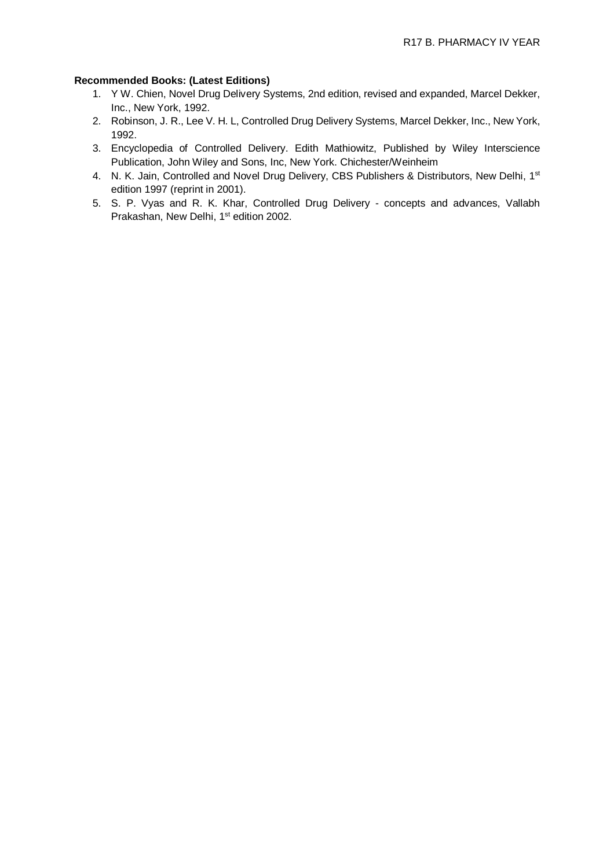### **Recommended Books: (Latest Editions)**

- 1. Y W. Chien, Novel Drug Delivery Systems, 2nd edition, revised and expanded, Marcel Dekker, Inc., New York, 1992.
- 2. Robinson, J. R., Lee V. H. L, Controlled Drug Delivery Systems, Marcel Dekker, Inc., New York, 1992.
- 3. Encyclopedia of Controlled Delivery. Edith Mathiowitz, Published by Wiley Interscience Publication, John Wiley and Sons, Inc, New York. Chichester/Weinheim
- 4. N. K. Jain, Controlled and Novel Drug Delivery, CBS Publishers & Distributors, New Delhi, 1<sup>st</sup> edition 1997 (reprint in 2001).
- 5. S. P. Vyas and R. K. Khar, Controlled Drug Delivery concepts and advances, Vallabh Prakashan, New Delhi, 1<sup>st</sup> edition 2002.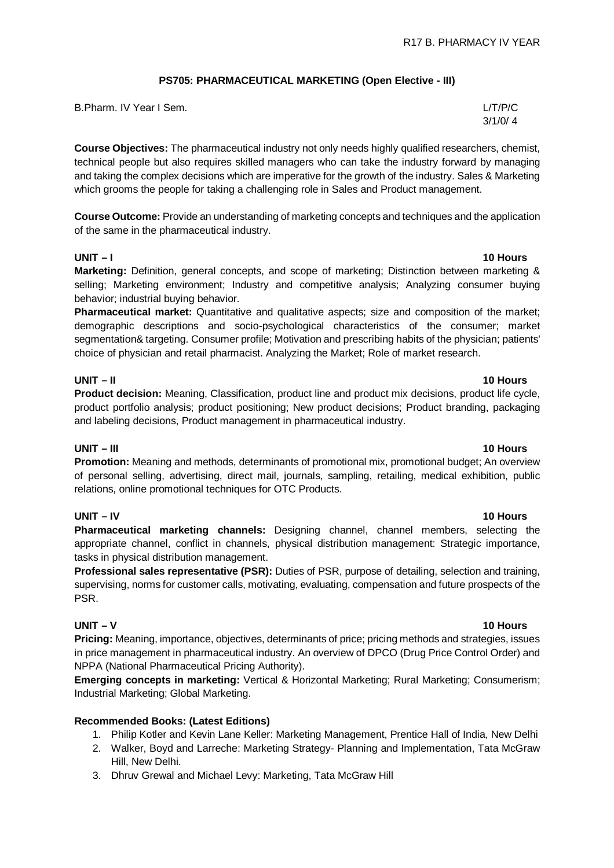### **PS705: PHARMACEUTICAL MARKETING (Open Elective - III)**

| B.Pharm. IV Year I Sem. | L/T/P/C |
|-------------------------|---------|
|                         | 3/1/0/4 |

**Course Objectives:** The pharmaceutical industry not only needs highly qualified researchers, chemist, technical people but also requires skilled managers who can take the industry forward by managing and taking the complex decisions which are imperative for the growth of the industry. Sales & Marketing which grooms the people for taking a challenging role in Sales and Product management.

**Course Outcome:** Provide an understanding of marketing concepts and techniques and the application of the same in the pharmaceutical industry.

**Marketing:** Definition, general concepts, and scope of marketing; Distinction between marketing & selling; Marketing environment; Industry and competitive analysis; Analyzing consumer buying behavior; industrial buying behavior.

**Pharmaceutical market:** Quantitative and qualitative aspects; size and composition of the market; demographic descriptions and socio-psychological characteristics of the consumer; market segmentation& targeting. Consumer profile; Motivation and prescribing habits of the physician; patients' choice of physician and retail pharmacist. Analyzing the Market; Role of market research.

### **UNIT – II 10 Hours**

**Product decision:** Meaning, Classification, product line and product mix decisions, product life cycle, product portfolio analysis; product positioning; New product decisions; Product branding, packaging and labeling decisions, Product management in pharmaceutical industry.

### **UNIT – III 10 Hours**

**Promotion:** Meaning and methods, determinants of promotional mix, promotional budget; An overview of personal selling, advertising, direct mail, journals, sampling, retailing, medical exhibition, public relations, online promotional techniques for OTC Products.

### **UNIT – IV 10 Hours**

**Pharmaceutical marketing channels:** Designing channel, channel members, selecting the appropriate channel, conflict in channels, physical distribution management: Strategic importance, tasks in physical distribution management.

**Professional sales representative (PSR):** Duties of PSR, purpose of detailing, selection and training, supervising, norms for customer calls, motivating, evaluating, compensation and future prospects of the PSR.

## **UNIT – V 10 Hours**

**Pricing:** Meaning, importance, objectives, determinants of price; pricing methods and strategies, issues in price management in pharmaceutical industry. An overview of DPCO (Drug Price Control Order) and NPPA (National Pharmaceutical Pricing Authority).

**Emerging concepts in marketing:** Vertical & Horizontal Marketing; Rural Marketing; Consumerism; Industrial Marketing; Global Marketing.

### **Recommended Books: (Latest Editions)**

- 1. Philip Kotler and Kevin Lane Keller: Marketing Management, Prentice Hall of India, New Delhi
- 2. Walker, Boyd and Larreche: Marketing Strategy- Planning and Implementation, Tata McGraw Hill, New Delhi.
- 3. Dhruv Grewal and Michael Levy: Marketing, Tata McGraw Hill

### **UNIT – I 10 Hours**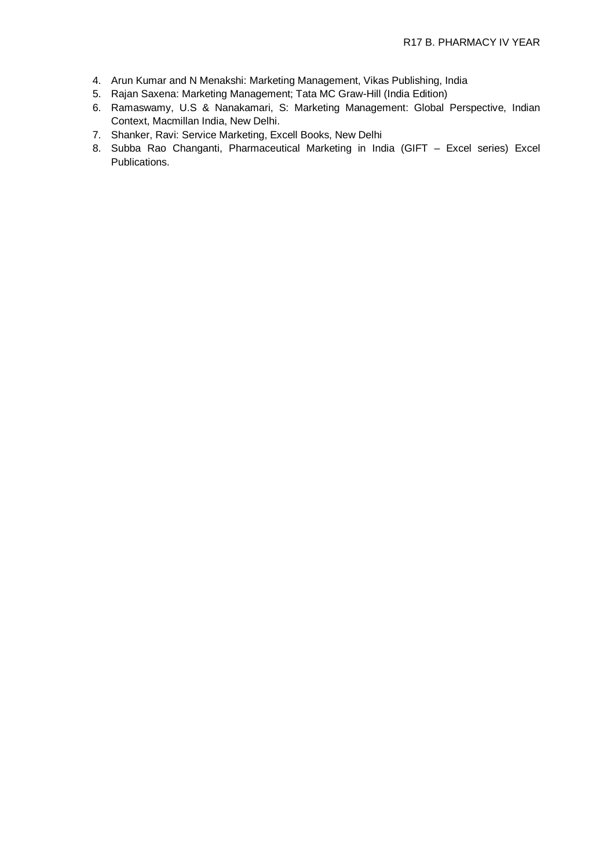- 4. Arun Kumar and N Menakshi: Marketing Management, Vikas Publishing, India
- 5. Rajan Saxena: Marketing Management; Tata MC Graw-Hill (India Edition)
- 6. Ramaswamy, U.S & Nanakamari, S: Marketing Management: Global Perspective, Indian Context, Macmillan India, New Delhi.
- 7. Shanker, Ravi: Service Marketing, Excell Books, New Delhi
- 8. Subba Rao Changanti, Pharmaceutical Marketing in India (GIFT Excel series) Excel Publications.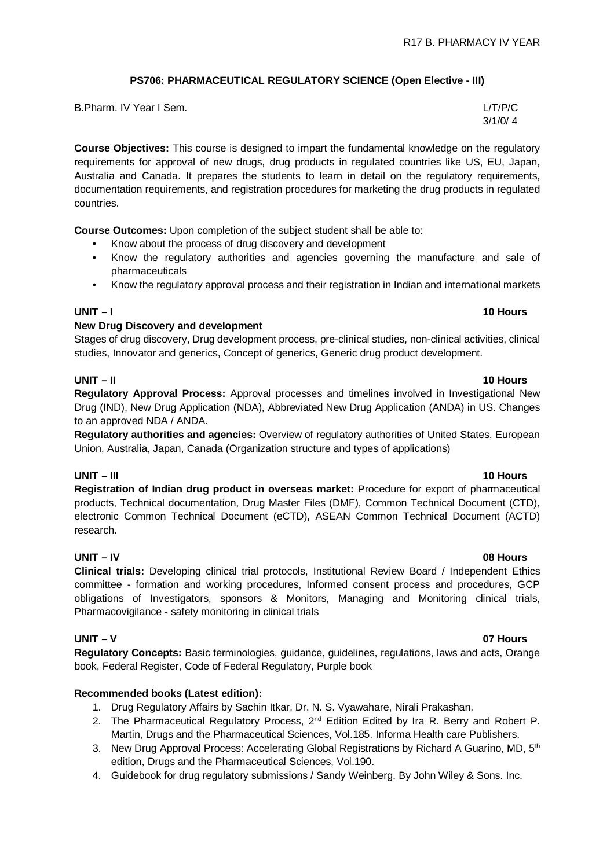# **PS706: PHARMACEUTICAL REGULATORY SCIENCE (Open Elective - III)**

| B.Pharm. IV Year I Sem. | L/T/P/C |
|-------------------------|---------|
|                         | 3/1/0/4 |

**Course Objectives:** This course is designed to impart the fundamental knowledge on the regulatory requirements for approval of new drugs, drug products in regulated countries like US, EU, Japan, Australia and Canada. It prepares the students to learn in detail on the regulatory requirements, documentation requirements, and registration procedures for marketing the drug products in regulated countries.

**Course Outcomes:** Upon completion of the subject student shall be able to:

- Know about the process of drug discovery and development
- Know the regulatory authorities and agencies governing the manufacture and sale of pharmaceuticals
- Know the regulatory approval process and their registration in Indian and international markets

### **UNIT – I 10 Hours**

### **New Drug Discovery and development**

Stages of drug discovery, Drug development process, pre-clinical studies, non-clinical activities, clinical studies, Innovator and generics, Concept of generics, Generic drug product development.

# **UNIT – II 10 Hours**

**Regulatory Approval Process:** Approval processes and timelines involved in Investigational New Drug (IND), New Drug Application (NDA), Abbreviated New Drug Application (ANDA) in US. Changes to an approved NDA / ANDA.

**Regulatory authorities and agencies:** Overview of regulatory authorities of United States, European Union, Australia, Japan, Canada (Organization structure and types of applications)

# **UNIT – III 10 Hours**

**Registration of Indian drug product in overseas market:** Procedure for export of pharmaceutical products, Technical documentation, Drug Master Files (DMF), Common Technical Document (CTD), electronic Common Technical Document (eCTD), ASEAN Common Technical Document (ACTD) research.

### **UNIT – IV 08 Hours**

**Clinical trials:** Developing clinical trial protocols, Institutional Review Board / Independent Ethics committee - formation and working procedures, Informed consent process and procedures, GCP obligations of Investigators, sponsors & Monitors, Managing and Monitoring clinical trials, Pharmacovigilance - safety monitoring in clinical trials

### **UNIT – V 07 Hours**

**Regulatory Concepts:** Basic terminologies, guidance, guidelines, regulations, laws and acts, Orange book, Federal Register, Code of Federal Regulatory, Purple book

# **Recommended books (Latest edition):**

- 1. Drug Regulatory Affairs by Sachin Itkar, Dr. N. S. Vyawahare, Nirali Prakashan.
- 2. The Pharmaceutical Regulatory Process, 2<sup>nd</sup> Edition Edited by Ira R. Berry and Robert P. Martin, Drugs and the Pharmaceutical Sciences, Vol.185. Informa Health care Publishers.
- 3. New Drug Approval Process: Accelerating Global Registrations by Richard A Guarino, MD, 5<sup>th</sup> edition, Drugs and the Pharmaceutical Sciences, Vol.190.
- 4. Guidebook for drug regulatory submissions / Sandy Weinberg. By John Wiley & Sons. Inc.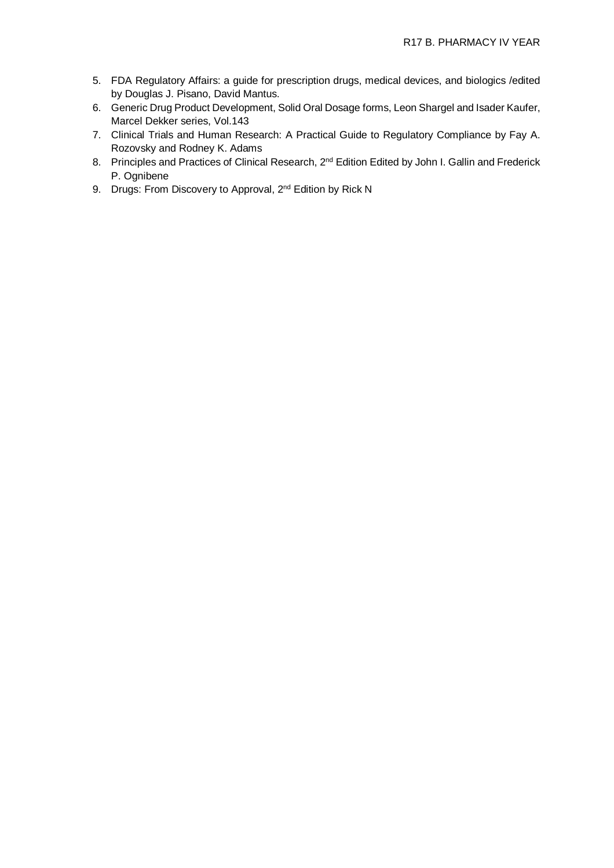- 5. FDA Regulatory Affairs: a guide for prescription drugs, medical devices, and biologics /edited by Douglas J. Pisano, David Mantus.
- 6. Generic Drug Product Development, Solid Oral Dosage forms, Leon Shargel and Isader Kaufer, Marcel Dekker series, Vol.143
- 7. Clinical Trials and Human Research: A Practical Guide to Regulatory Compliance by Fay A. Rozovsky and Rodney K. Adams
- 8. Principles and Practices of Clinical Research, 2<sup>nd</sup> Edition Edited by John I. Gallin and Frederick P. Ognibene
- 9. Drugs: From Discovery to Approval, 2<sup>nd</sup> Edition by Rick N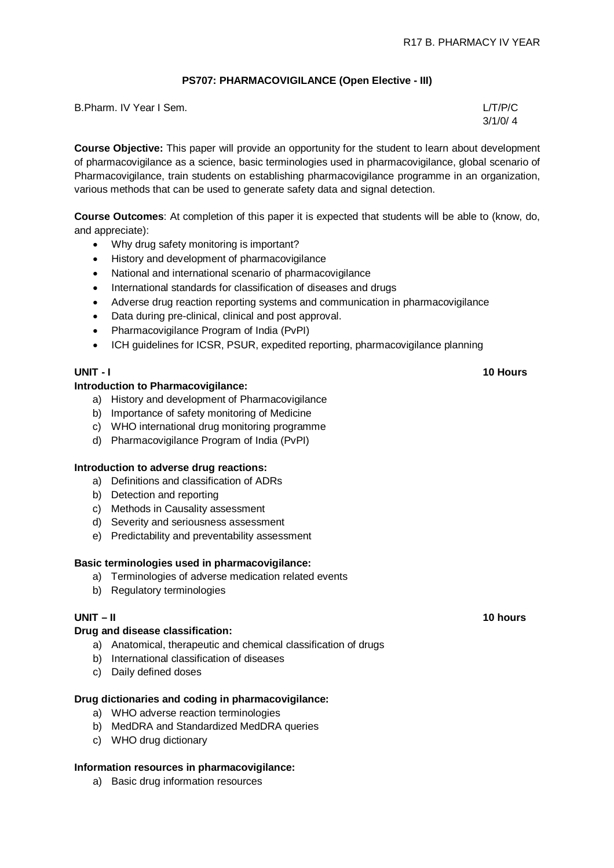### **PS707: PHARMACOVIGILANCE (Open Elective - III)**

| B. Pharm. IV Year I Sem. | L/T/P/C |
|--------------------------|---------|
|                          | 3/1/0/4 |

**Course Objective:** This paper will provide an opportunity for the student to learn about development of pharmacovigilance as a science, basic terminologies used in pharmacovigilance, global scenario of Pharmacovigilance, train students on establishing pharmacovigilance programme in an organization, various methods that can be used to generate safety data and signal detection.

**Course Outcomes**: At completion of this paper it is expected that students will be able to (know, do, and appreciate):

- Why drug safety monitoring is important?
- History and development of pharmacovigilance
- National and international scenario of pharmacovigilance
- International standards for classification of diseases and drugs
- Adverse drug reaction reporting systems and communication in pharmacovigilance
- Data during pre-clinical, clinical and post approval.
- Pharmacovigilance Program of India (PvPI)
- ICH guidelines for ICSR, PSUR, expedited reporting, pharmacovigilance planning

### **Introduction to Pharmacovigilance:**

- a) History and development of Pharmacovigilance
- b) Importance of safety monitoring of Medicine
- c) WHO international drug monitoring programme
- d) Pharmacovigilance Program of India (PvPI)

### **Introduction to adverse drug reactions:**

- a) Definitions and classification of ADRs
- b) Detection and reporting
- c) Methods in Causality assessment
- d) Severity and seriousness assessment
- e) Predictability and preventability assessment

### **Basic terminologies used in pharmacovigilance:**

- a) Terminologies of adverse medication related events
- b) Regulatory terminologies

### **Drug and disease classification:**

- a) Anatomical, therapeutic and chemical classification of drugs
- b) International classification of diseases
- c) Daily defined doses

### **Drug dictionaries and coding in pharmacovigilance:**

- a) WHO adverse reaction terminologies
- b) MedDRA and Standardized MedDRA queries
- c) WHO drug dictionary

### **Information resources in pharmacovigilance:**

a) Basic drug information resources

### **UNIT - I 10 Hours**

### **UNIT – II 10 hours**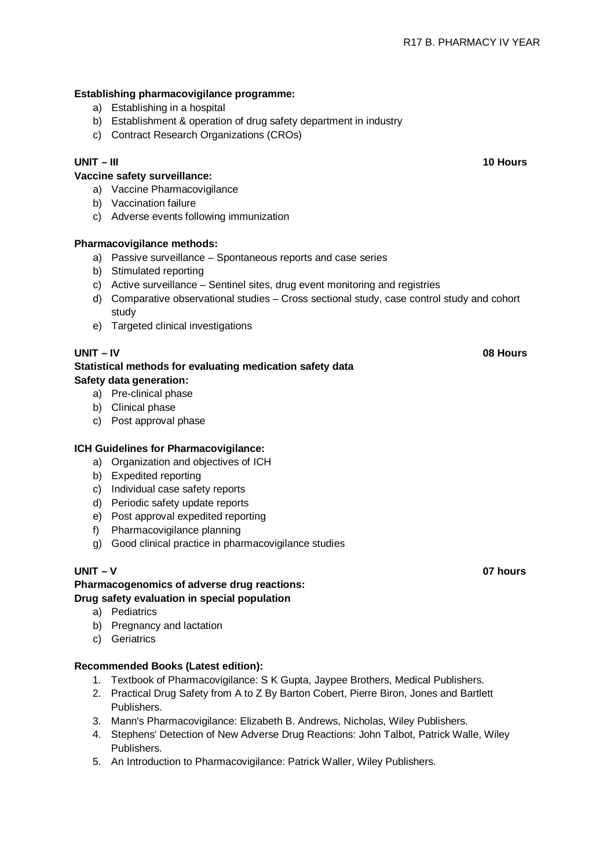# **Establishing pharmacovigilance programme:**

- a) Establishing in a hospital
- b) Establishment & operation of drug safety department in industry
- c) Contract Research Organizations (CROs)

# **Vaccine safety surveillance:**

- a) Vaccine Pharmacovigilance
- b) Vaccination failure
- c) Adverse events following immunization

## **Pharmacovigilance methods:**

- a) Passive surveillance Spontaneous reports and case series
- b) Stimulated reporting
- c) Active surveillance Sentinel sites, drug event monitoring and registries
- d) Comparative observational studies Cross sectional study, case control study and cohort study
- e) Targeted clinical investigations

# **Statistical methods for evaluating medication safety data Safety data generation:**

- a) Pre-clinical phase
- b) Clinical phase
- c) Post approval phase

### **ICH Guidelines for Pharmacovigilance:**

- a) Organization and objectives of ICH
- b) Expedited reporting
- c) Individual case safety reports
- d) Periodic safety update reports
- e) Post approval expedited reporting
- f) Pharmacovigilance planning
- g) Good clinical practice in pharmacovigilance studies

**Pharmacogenomics of adverse drug reactions: Drug safety evaluation in special population**

- a) Pediatrics
- b) Pregnancy and lactation
- c) Geriatrics

### **Recommended Books (Latest edition):**

- 1. Textbook of Pharmacovigilance: S K Gupta, Jaypee Brothers, Medical Publishers.
- 2. Practical Drug Safety from A to Z By Barton Cobert, Pierre Biron, Jones and Bartlett Publishers.
- 3. Mann's Pharmacovigilance: Elizabeth B. Andrews, Nicholas, Wiley Publishers.
- 4. Stephens' Detection of New Adverse Drug Reactions: John Talbot, Patrick Walle, Wiley Publishers.
- 5. An Introduction to Pharmacovigilance: Patrick Waller, Wiley Publishers.

### **UNIT – V 07 hours**

**UNIT – III 10 Hours**

**UNIT – IV 08 Hours**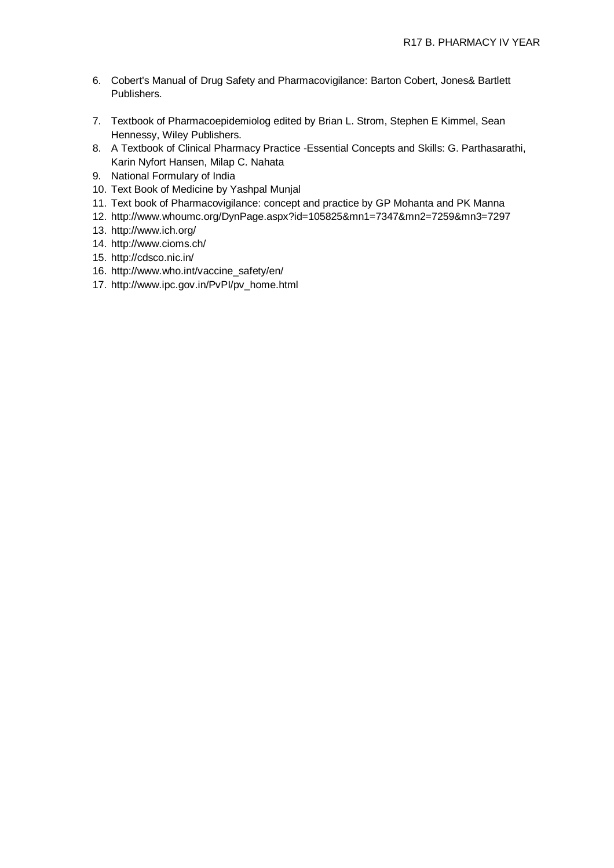- 6. Cobert's Manual of Drug Safety and Pharmacovigilance: Barton Cobert, Jones& Bartlett Publishers.
- 7. Textbook of Pharmacoepidemiolog edited by Brian L. Strom, Stephen E Kimmel, Sean Hennessy, Wiley Publishers.
- 8. A Textbook of Clinical Pharmacy Practice -Essential Concepts and Skills: G. Parthasarathi, Karin Nyfort Hansen, Milap C. Nahata
- 9. National Formulary of India
- 10. Text Book of Medicine by Yashpal Munjal
- 11. Text book of Pharmacovigilance: concept and practice by GP Mohanta and PK Manna
- 12. <http://www.whoumc.org/DynPage.aspx?id=105825&mn1=7347&mn2=7259&mn3=7297>
- 13. <http://www.ich.org/>
- 14. <http://www.cioms.ch/>
- 15. <http://cdsco.nic.in/>
- 16. [http://www.who.int/vaccine\\_safety/en/](http://www.who.int/vaccine_safety/en/)
- 17. [http://www.ipc.gov.in/PvPI/pv\\_home.html](http://www.ipc.gov.in/PvPI/pv_home.html)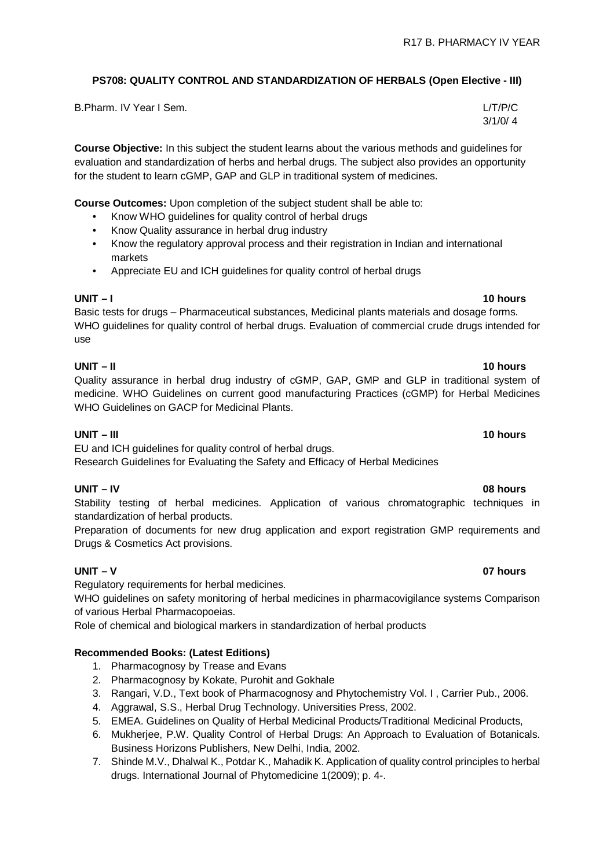# **PS708: QUALITY CONTROL AND STANDARDIZATION OF HERBALS (Open Elective - III)**

B.Pharm. IV Year I Sem. L/T/P/C

**Course Objective:** In this subject the student learns about the various methods and guidelines for evaluation and standardization of herbs and herbal drugs. The subject also provides an opportunity for the student to learn cGMP, GAP and GLP in traditional system of medicines.

**Course Outcomes:** Upon completion of the subject student shall be able to:

- Know WHO guidelines for quality control of herbal drugs
- Know Quality assurance in herbal drug industry
- Know the regulatory approval process and their registration in Indian and international markets
- Appreciate EU and ICH guidelines for quality control of herbal drugs

# **UNIT – I 10 hours**

Basic tests for drugs – Pharmaceutical substances, Medicinal plants materials and dosage forms. WHO guidelines for quality control of herbal drugs. Evaluation of commercial crude drugs intended for use

# **UNIT – II 10 hours**

Quality assurance in herbal drug industry of cGMP, GAP, GMP and GLP in traditional system of medicine. WHO Guidelines on current good manufacturing Practices (cGMP) for Herbal Medicines WHO Guidelines on GACP for Medicinal Plants.

# **UNIT – III 10 hours**

EU and ICH guidelines for quality control of herbal drugs.

Research Guidelines for Evaluating the Safety and Efficacy of Herbal Medicines

# **UNIT – IV 08 hours**

Stability testing of herbal medicines. Application of various chromatographic techniques in standardization of herbal products.

Preparation of documents for new drug application and export registration GMP requirements and Drugs & Cosmetics Act provisions.

### **UNIT – V 07 hours**

Regulatory requirements for herbal medicines.

WHO guidelines on safety monitoring of herbal medicines in pharmacovigilance systems Comparison of various Herbal Pharmacopoeias.

Role of chemical and biological markers in standardization of herbal products

# **Recommended Books: (Latest Editions)**

- 1. Pharmacognosy by Trease and Evans
- 2. Pharmacognosy by Kokate, Purohit and Gokhale
- 3. Rangari, V.D., Text book of Pharmacognosy and Phytochemistry Vol. I , Carrier Pub., 2006.
- 4. Aggrawal, S.S., Herbal Drug Technology. Universities Press, 2002.
- 5. EMEA. Guidelines on Quality of Herbal Medicinal Products/Traditional Medicinal Products,
- 6. Mukherjee, P.W. Quality Control of Herbal Drugs: An Approach to Evaluation of Botanicals. Business Horizons Publishers, New Delhi, India, 2002.
- 7. Shinde M.V., Dhalwal K., Potdar K., Mahadik K. Application of quality control principles to herbal drugs. International Journal of Phytomedicine 1(2009); p. 4-.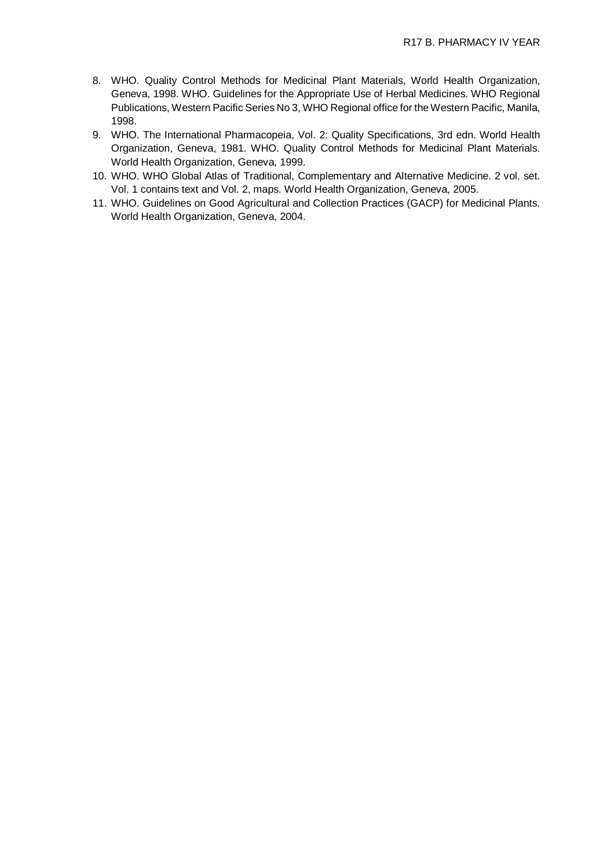- 8. WHO. Quality Control Methods for Medicinal Plant Materials, World Health Organization, Geneva, 1998. WHO. Guidelines for the Appropriate Use of Herbal Medicines. WHO Regional Publications, Western Pacific Series No 3, WHO Regional office for the Western Pacific, Manila, 1998.
- 9. WHO. The International Pharmacopeia, Vol. 2: Quality Specifications, 3rd edn. World Health Organization, Geneva, 1981. WHO. Quality Control Methods for Medicinal Plant Materials. World Health Organization, Geneva, 1999.
- 10. WHO. WHO Global Atlas of Traditional, Complementary and Alternative Medicine. 2 vol. set. Vol. 1 contains text and Vol. 2, maps. World Health Organization, Geneva, 2005.
- 11. WHO. Guidelines on Good Agricultural and Collection Practices (GACP) for Medicinal Plants. World Health Organization, Geneva, 2004.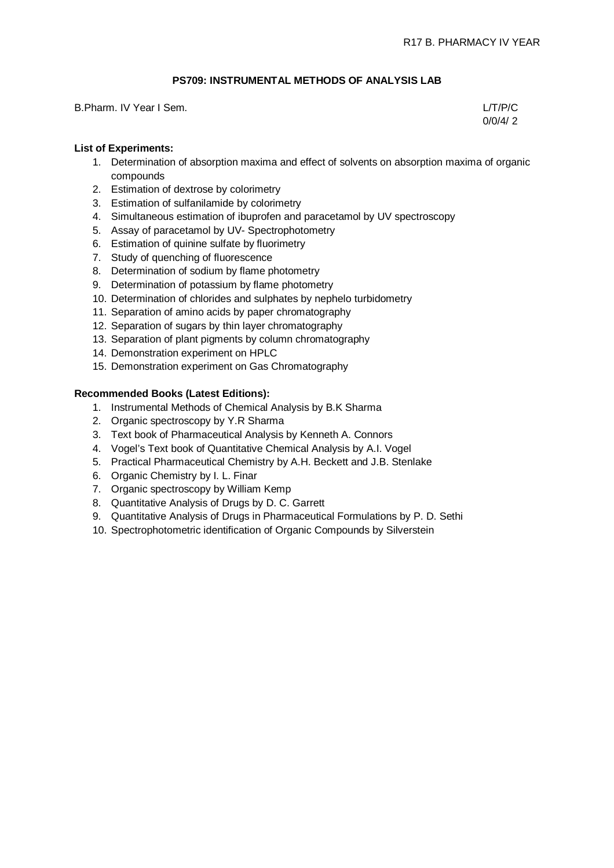# **PS709: INSTRUMENTAL METHODS OF ANALYSIS LAB**

B.Pharm. IV Year I Sem. L/T/P/C

 $0/0/4/2$ 

### **List of Experiments:**

- 1. Determination of absorption maxima and effect of solvents on absorption maxima of organic compounds
- 2. Estimation of dextrose by colorimetry
- 3. Estimation of sulfanilamide by colorimetry
- 4. Simultaneous estimation of ibuprofen and paracetamol by UV spectroscopy
- 5. Assay of paracetamol by UV- Spectrophotometry
- 6. Estimation of quinine sulfate by fluorimetry
- 7. Study of quenching of fluorescence
- 8. Determination of sodium by flame photometry
- 9. Determination of potassium by flame photometry
- 10. Determination of chlorides and sulphates by nephelo turbidometry
- 11. Separation of amino acids by paper chromatography
- 12. Separation of sugars by thin layer chromatography
- 13. Separation of plant pigments by column chromatography
- 14. Demonstration experiment on HPLC
- 15. Demonstration experiment on Gas Chromatography

### **Recommended Books (Latest Editions):**

- 1. Instrumental Methods of Chemical Analysis by B.K Sharma
- 2. Organic spectroscopy by Y.R Sharma
- 3. Text book of Pharmaceutical Analysis by Kenneth A. Connors
- 4. Vogel's Text book of Quantitative Chemical Analysis by A.I. Vogel
- 5. Practical Pharmaceutical Chemistry by A.H. Beckett and J.B. Stenlake
- 6. Organic Chemistry by I. L. Finar
- 7. Organic spectroscopy by William Kemp
- 8. Quantitative Analysis of Drugs by D. C. Garrett
- 9. Quantitative Analysis of Drugs in Pharmaceutical Formulations by P. D. Sethi
- 10. Spectrophotometric identification of Organic Compounds by Silverstein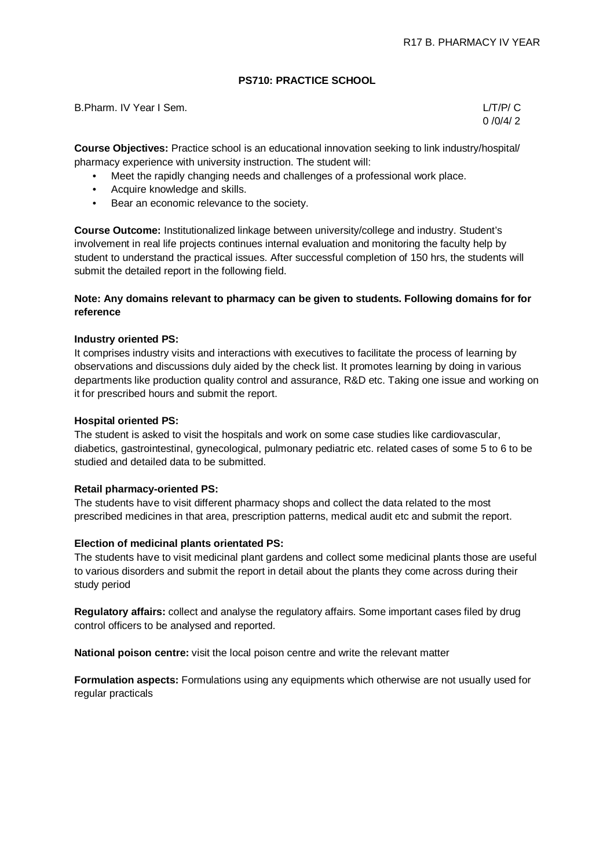### **PS710: PRACTICE SCHOOL**

B.Pharm. IV Year I Sem. L/T/P/ C

 $0/0/4/2$ 

**Course Objectives:** Practice school is an educational innovation seeking to link industry/hospital/ pharmacy experience with university instruction. The student will:

- Meet the rapidly changing needs and challenges of a professional work place.
- Acquire knowledge and skills.
- Bear an economic relevance to the society.

**Course Outcome:** Institutionalized linkage between university/college and industry. Student's involvement in real life projects continues internal evaluation and monitoring the faculty help by student to understand the practical issues. After successful completion of 150 hrs, the students will submit the detailed report in the following field.

### **Note: Any domains relevant to pharmacy can be given to students. Following domains for for reference**

### **Industry oriented PS:**

It comprises industry visits and interactions with executives to facilitate the process of learning by observations and discussions duly aided by the check list. It promotes learning by doing in various departments like production quality control and assurance, R&D etc. Taking one issue and working on it for prescribed hours and submit the report.

### **Hospital oriented PS:**

The student is asked to visit the hospitals and work on some case studies like cardiovascular, diabetics, gastrointestinal, gynecological, pulmonary pediatric etc. related cases of some 5 to 6 to be studied and detailed data to be submitted.

### **Retail pharmacy-oriented PS:**

The students have to visit different pharmacy shops and collect the data related to the most prescribed medicines in that area, prescription patterns, medical audit etc and submit the report.

### **Election of medicinal plants orientated PS:**

The students have to visit medicinal plant gardens and collect some medicinal plants those are useful to various disorders and submit the report in detail about the plants they come across during their study period

**Regulatory affairs:** collect and analyse the regulatory affairs. Some important cases filed by drug control officers to be analysed and reported.

**National poison centre:** visit the local poison centre and write the relevant matter

**Formulation aspects:** Formulations using any equipments which otherwise are not usually used for regular practicals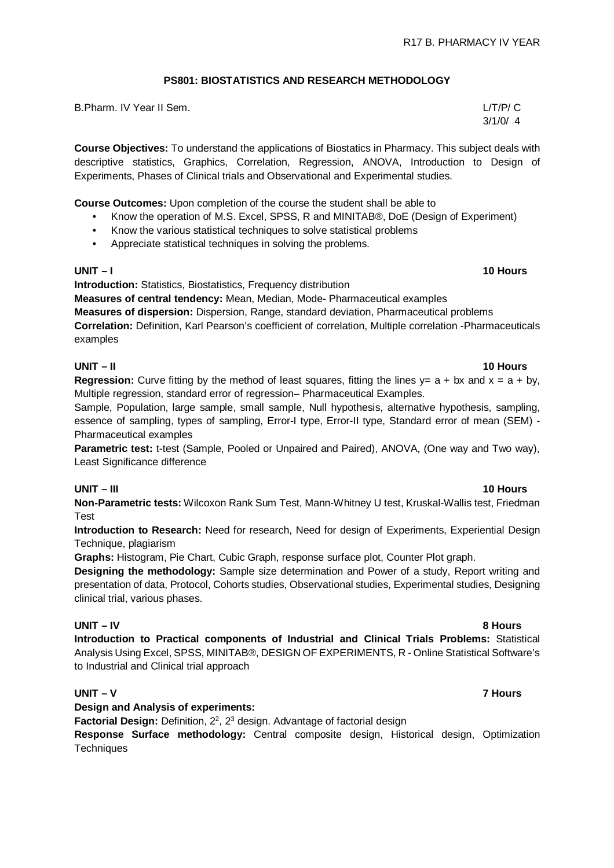# **PS801: BIOSTATISTICS AND RESEARCH METHODOLOGY**

B.Pharm. IV Year II Sem. L/T/P/ C

**Course Objectives:** To understand the applications of Biostatics in Pharmacy. This subject deals with descriptive statistics, Graphics, Correlation, Regression, ANOVA, Introduction to Design of Experiments, Phases of Clinical trials and Observational and Experimental studies.

**Course Outcomes:** Upon completion of the course the student shall be able to

- Know the operation of M.S. Excel, SPSS, R and MINITAB®, DoE (Design of Experiment)
- Know the various statistical techniques to solve statistical problems
- Appreciate statistical techniques in solving the problems.

# **UNIT – I 10 Hours**

**Introduction:** Statistics, Biostatistics, Frequency distribution

**Measures of central tendency:** Mean, Median, Mode- Pharmaceutical examples

**Measures of dispersion:** Dispersion, Range, standard deviation, Pharmaceutical problems **Correlation:** Definition, Karl Pearson's coefficient of correlation, Multiple correlation -Pharmaceuticals examples

### **UNIT – II 10 Hours**

**Regression:** Curve fitting by the method of least squares, fitting the lines  $y = a + bx$  and  $x = a + by$ , Multiple regression, standard error of regression– Pharmaceutical Examples.

Sample, Population, large sample, small sample, Null hypothesis, alternative hypothesis, sampling, essence of sampling, types of sampling, Error-I type, Error-II type, Standard error of mean (SEM) - Pharmaceutical examples

**Parametric test:** t-test (Sample, Pooled or Unpaired and Paired), ANOVA, (One way and Two way), Least Significance difference

# **UNIT – III 10 Hours**

**Non-Parametric tests:** Wilcoxon Rank Sum Test, Mann-Whitney U test, Kruskal-Wallis test, Friedman Test

**Introduction to Research:** Need for research, Need for design of Experiments, Experiential Design Technique, plagiarism

**Graphs:** Histogram, Pie Chart, Cubic Graph, response surface plot, Counter Plot graph.

**Designing the methodology:** Sample size determination and Power of a study, Report writing and presentation of data, Protocol, Cohorts studies, Observational studies, Experimental studies, Designing clinical trial, various phases.

### **UNIT – IV 8 Hours**

**Introduction to Practical components of Industrial and Clinical Trials Problems:** Statistical Analysis Using Excel, SPSS, MINITAB®, DESIGN OF EXPERIMENTS, R - Online Statistical Software's to Industrial and Clinical trial approach

### **UNIT – V 7 Hours**

**Design and Analysis of experiments:**

Factorial Design: Definition, 2<sup>2</sup>, 2<sup>3</sup> design. Advantage of factorial design

**Response Surface methodology:** Central composite design, Historical design, Optimization **Techniques**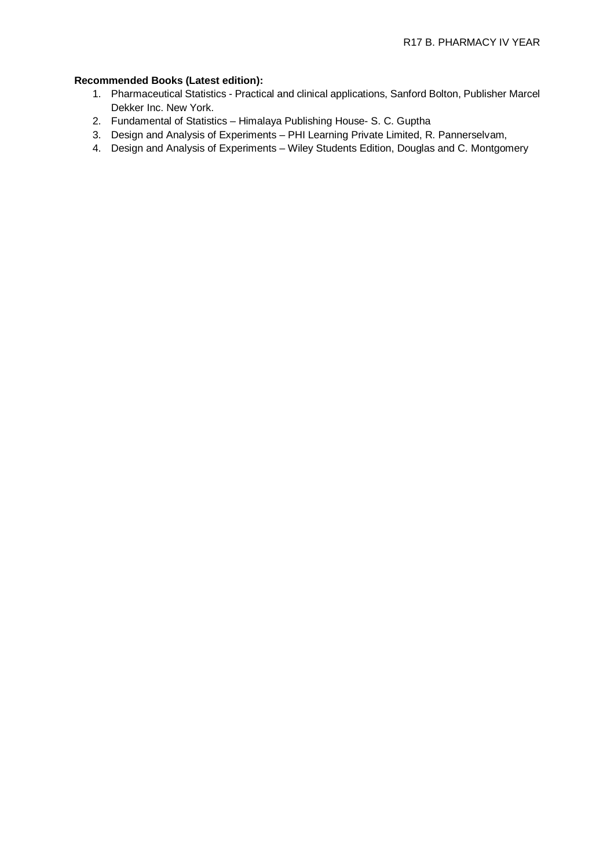# **Recommended Books (Latest edition):**

- 1. Pharmaceutical Statistics Practical and clinical applications, Sanford Bolton, Publisher Marcel Dekker Inc. New York.
- 2. Fundamental of Statistics Himalaya Publishing House- S. C. Guptha
- 3. Design and Analysis of Experiments PHI Learning Private Limited, R. Pannerselvam,
- 4. Design and Analysis of Experiments Wiley Students Edition, Douglas and C. Montgomery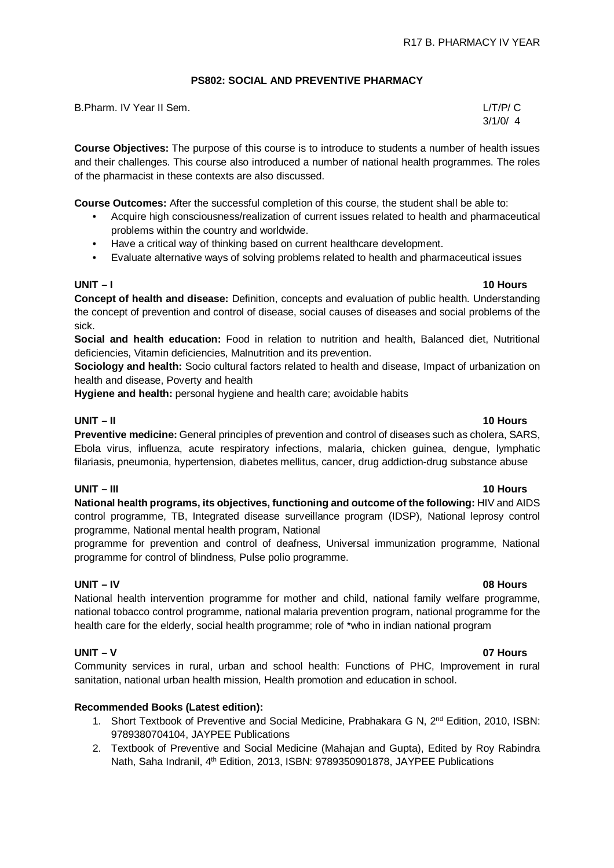### **PS802: SOCIAL AND PREVENTIVE PHARMACY**

| B.Pharm. IV Year II Sem. | L/T/P/ C |
|--------------------------|----------|
|                          | 3/1/0/4  |

**Course Objectives:** The purpose of this course is to introduce to students a number of health issues and their challenges. This course also introduced a number of national health programmes. The roles of the pharmacist in these contexts are also discussed.

**Course Outcomes:** After the successful completion of this course, the student shall be able to:

- Acquire high consciousness/realization of current issues related to health and pharmaceutical problems within the country and worldwide.
- Have a critical way of thinking based on current healthcare development.
- Evaluate alternative ways of solving problems related to health and pharmaceutical issues

**Concept of health and disease:** Definition, concepts and evaluation of public health. Understanding the concept of prevention and control of disease, social causes of diseases and social problems of the sick.

**Social and health education:** Food in relation to nutrition and health, Balanced diet, Nutritional deficiencies, Vitamin deficiencies, Malnutrition and its prevention.

**Sociology and health:** Socio cultural factors related to health and disease, Impact of urbanization on health and disease, Poverty and health

**Hygiene and health:** personal hygiene and health care; avoidable habits

# **UNIT – II 10 Hours**

**Preventive medicine:** General principles of prevention and control of diseases such as cholera, SARS, Ebola virus, influenza, acute respiratory infections, malaria, chicken guinea, dengue, lymphatic filariasis, pneumonia, hypertension, diabetes mellitus, cancer, drug addiction-drug substance abuse

# **UNIT – III 10 Hours**

**National health programs, its objectives, functioning and outcome of the following:** HIV and AIDS control programme, TB, Integrated disease surveillance program (IDSP), National leprosy control programme, National mental health program, National

programme for prevention and control of deafness, Universal immunization programme, National programme for control of blindness, Pulse polio programme.

### **UNIT – IV 08 Hours**

National health intervention programme for mother and child, national family welfare programme, national tobacco control programme, national malaria prevention program, national programme for the health care for the elderly, social health programme; role of \*who in indian national program

# **UNIT – V 07 Hours**

Community services in rural, urban and school health: Functions of PHC, Improvement in rural sanitation, national urban health mission, Health promotion and education in school.

### **Recommended Books (Latest edition):**

- 1. Short Textbook of Preventive and Social Medicine, Prabhakara G N, 2<sup>nd</sup> Edition, 2010, ISBN: 9789380704104, JAYPEE Publications
- 2. Textbook of Preventive and Social Medicine (Mahajan and Gupta), Edited by Roy Rabindra Nath, Saha Indranil, 4<sup>th</sup> Edition, 2013, ISBN: 9789350901878, JAYPEE Publications

# **UNIT – I 10 Hours**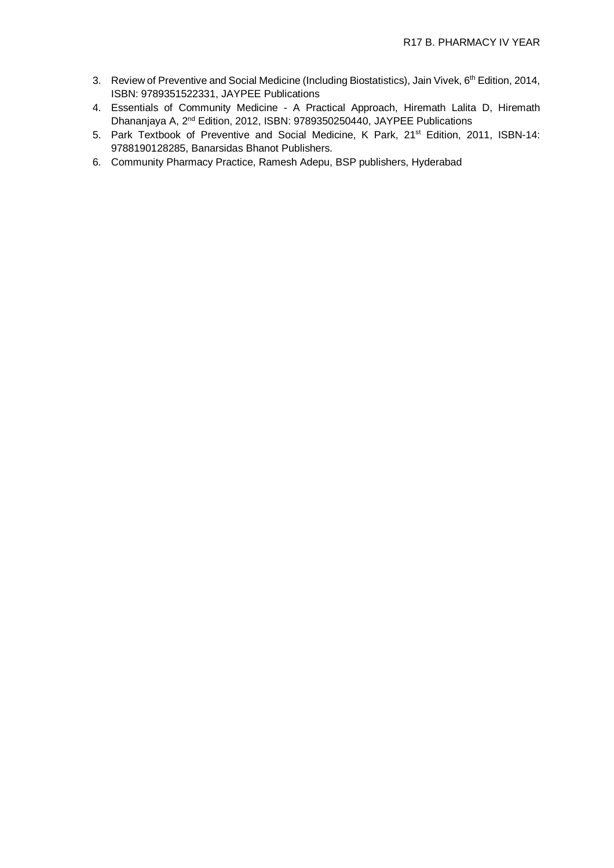- 3. Review of Preventive and Social Medicine (Including Biostatistics), Jain Vivek, 6<sup>th</sup> Edition, 2014, ISBN: 9789351522331, JAYPEE Publications
- 4. Essentials of Community Medicine A Practical Approach, Hiremath Lalita D, Hiremath Dhananjaya A, 2nd Edition, 2012, ISBN: 9789350250440, JAYPEE Publications
- 5. Park Textbook of Preventive and Social Medicine, K Park, 21<sup>st</sup> Edition, 2011, ISBN-14: 9788190128285, Banarsidas Bhanot Publishers.
- 6. Community Pharmacy Practice, Ramesh Adepu, BSP publishers, Hyderabad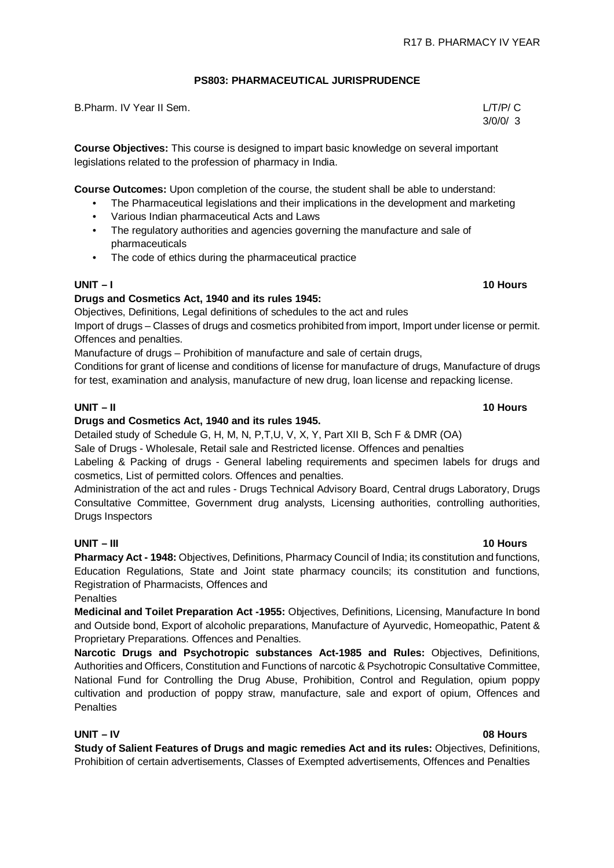# **PS803: PHARMACEUTICAL JURISPRUDENCE**

B.Pharm. IV Year II Sem. L/T/P/ C

**Course Objectives:** This course is designed to impart basic knowledge on several important legislations related to the profession of pharmacy in India.

**Course Outcomes:** Upon completion of the course, the student shall be able to understand:

- The Pharmaceutical legislations and their implications in the development and marketing
- Various Indian pharmaceutical Acts and Laws
- The regulatory authorities and agencies governing the manufacture and sale of pharmaceuticals
- The code of ethics during the pharmaceutical practice

### **UNIT – I 10 Hours**

### **Drugs and Cosmetics Act, 1940 and its rules 1945:**

Objectives, Definitions, Legal definitions of schedules to the act and rules Import of drugs – Classes of drugs and cosmetics prohibited from import, Import under license or permit. Offences and penalties.

Manufacture of drugs – Prohibition of manufacture and sale of certain drugs,

Conditions for grant of license and conditions of license for manufacture of drugs, Manufacture of drugs for test, examination and analysis, manufacture of new drug, loan license and repacking license.

# **UNIT – II 10 Hours**

### **Drugs and Cosmetics Act, 1940 and its rules 1945.**

Detailed study of Schedule G, H, M, N, P,T,U, V, X, Y, Part XII B, Sch F & DMR (OA)

Sale of Drugs - Wholesale, Retail sale and Restricted license. Offences and penalties

Labeling & Packing of drugs - General labeling requirements and specimen labels for drugs and cosmetics, List of permitted colors. Offences and penalties.

Administration of the act and rules - Drugs Technical Advisory Board, Central drugs Laboratory, Drugs Consultative Committee, Government drug analysts, Licensing authorities, controlling authorities, Drugs Inspectors

### **UNIT – III 10 Hours**

**Pharmacy Act - 1948:** Objectives, Definitions, Pharmacy Council of India; its constitution and functions, Education Regulations, State and Joint state pharmacy councils; its constitution and functions, Registration of Pharmacists, Offences and

**Penalties** 

**Medicinal and Toilet Preparation Act -1955:** Objectives, Definitions, Licensing, Manufacture In bond and Outside bond, Export of alcoholic preparations, Manufacture of Ayurvedic, Homeopathic, Patent & Proprietary Preparations. Offences and Penalties.

**Narcotic Drugs and Psychotropic substances Act-1985 and Rules:** Objectives, Definitions, Authorities and Officers, Constitution and Functions of narcotic & Psychotropic Consultative Committee, National Fund for Controlling the Drug Abuse, Prohibition, Control and Regulation, opium poppy cultivation and production of poppy straw, manufacture, sale and export of opium, Offences and **Penalties** 

### **UNIT – IV 08 Hours**

**Study of Salient Features of Drugs and magic remedies Act and its rules:** Objectives, Definitions, Prohibition of certain advertisements, Classes of Exempted advertisements, Offences and Penalties

# 3/0/0/ 3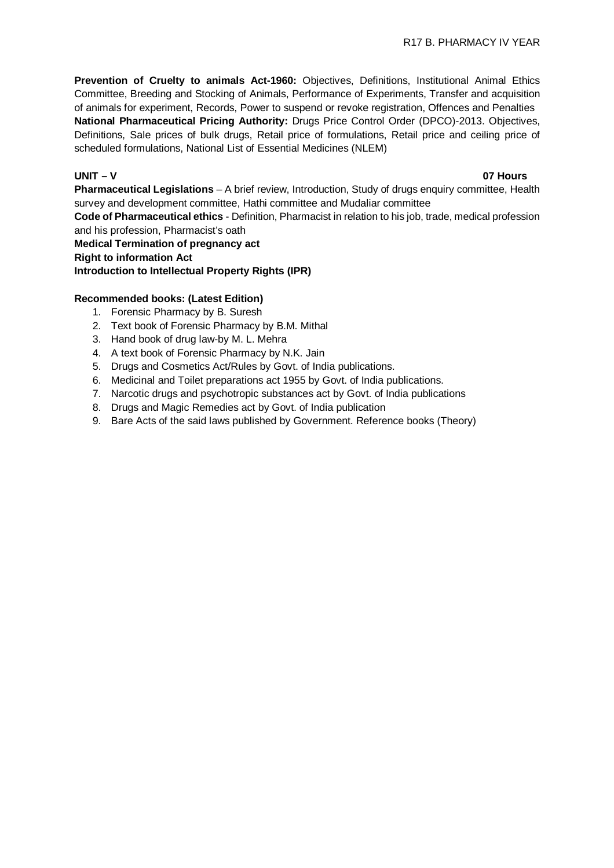**Prevention of Cruelty to animals Act-1960:** Objectives, Definitions, Institutional Animal Ethics Committee, Breeding and Stocking of Animals, Performance of Experiments, Transfer and acquisition of animals for experiment, Records, Power to suspend or revoke registration, Offences and Penalties **National Pharmaceutical Pricing Authority:** Drugs Price Control Order (DPCO)-2013. Objectives, Definitions, Sale prices of bulk drugs, Retail price of formulations, Retail price and ceiling price of scheduled formulations, National List of Essential Medicines (NLEM)

### **UNIT – V 07 Hours**

**Pharmaceutical Legislations** – A brief review, Introduction, Study of drugs enquiry committee, Health survey and development committee, Hathi committee and Mudaliar committee

**Code of Pharmaceutical ethics** - Definition, Pharmacist in relation to his job, trade, medical profession and his profession, Pharmacist's oath

**Medical Termination of pregnancy act Right to information Act Introduction to Intellectual Property Rights (IPR)**

### **Recommended books: (Latest Edition)**

- 1. Forensic Pharmacy by B. Suresh
- 2. Text book of Forensic Pharmacy by B.M. Mithal
- 3. Hand book of drug law-by M. L. Mehra
- 4. A text book of Forensic Pharmacy by N.K. Jain
- 5. Drugs and Cosmetics Act/Rules by Govt. of India publications.
- 6. Medicinal and Toilet preparations act 1955 by Govt. of India publications.
- 7. Narcotic drugs and psychotropic substances act by Govt. of India publications
- 8. Drugs and Magic Remedies act by Govt. of India publication
- 9. Bare Acts of the said laws published by Government. Reference books (Theory)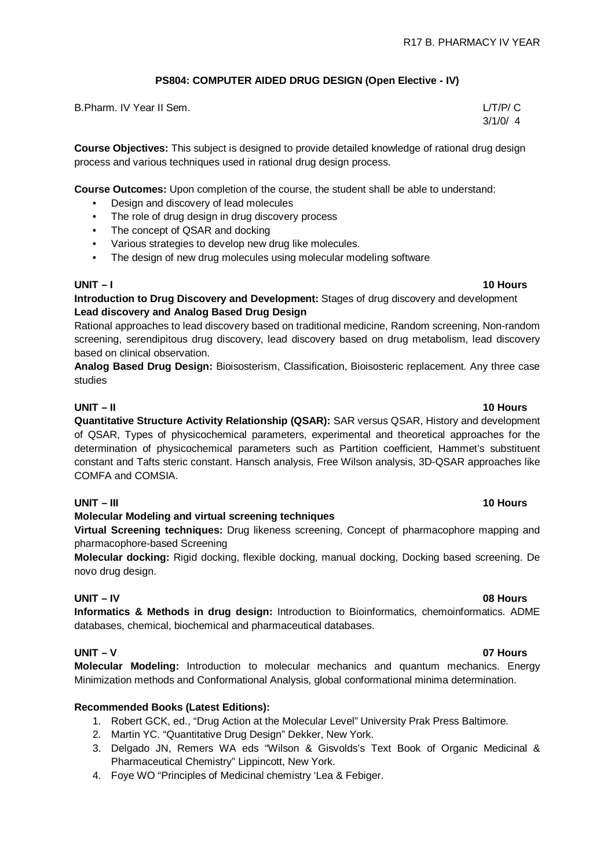# **PS804: COMPUTER AIDED DRUG DESIGN (Open Elective - IV)**

| B.Pharm. IV Year II Sem. | L/T/P/C |
|--------------------------|---------|
|                          | 3/1/0/4 |

**Course Objectives:** This subject is designed to provide detailed knowledge of rational drug design process and various techniques used in rational drug design process.

**Course Outcomes:** Upon completion of the course, the student shall be able to understand:

- Design and discovery of lead molecules
- The role of drug design in drug discovery process
- The concept of QSAR and docking
- Various strategies to develop new drug like molecules.
- The design of new drug molecules using molecular modeling software

### **UNIT – I 10 Hours**

**Introduction to Drug Discovery and Development:** Stages of drug discovery and development **Lead discovery and Analog Based Drug Design**

Rational approaches to lead discovery based on traditional medicine, Random screening, Non-random screening, serendipitous drug discovery, lead discovery based on drug metabolism, lead discovery based on clinical observation.

**Analog Based Drug Design:** Bioisosterism, Classification, Bioisosteric replacement. Any three case studies

### **UNIT – II 10 Hours**

**Quantitative Structure Activity Relationship (QSAR):** SAR versus QSAR, History and development of QSAR, Types of physicochemical parameters, experimental and theoretical approaches for the determination of physicochemical parameters such as Partition coefficient, Hammet's substituent constant and Tafts steric constant. Hansch analysis, Free Wilson analysis, 3D-QSAR approaches like COMFA and COMSIA.

# **UNIT – III 10 Hours**

### **Molecular Modeling and virtual screening techniques**

**Virtual Screening techniques:** Drug likeness screening, Concept of pharmacophore mapping and pharmacophore-based Screening

**Molecular docking:** Rigid docking, flexible docking, manual docking, Docking based screening. De novo drug design.

### **UNIT – IV 08 Hours**

**Informatics & Methods in drug design:** Introduction to Bioinformatics, chemoinformatics. ADME databases, chemical, biochemical and pharmaceutical databases.

# **UNIT – V 07 Hours**

**Molecular Modeling:** Introduction to molecular mechanics and quantum mechanics. Energy Minimization methods and Conformational Analysis, global conformational minima determination.

### **Recommended Books (Latest Editions):**

- 1. Robert GCK, ed., "Drug Action at the Molecular Level" University Prak Press Baltimore.
- 2. Martin YC. "Quantitative Drug Design" Dekker, New York.
- 3. Delgado JN, Remers WA eds "Wilson & Gisvolds's Text Book of Organic Medicinal & Pharmaceutical Chemistry" Lippincott, New York.
- 4. Foye WO "Principles of Medicinal chemistry 'Lea & Febiger.

 $\overline{4}$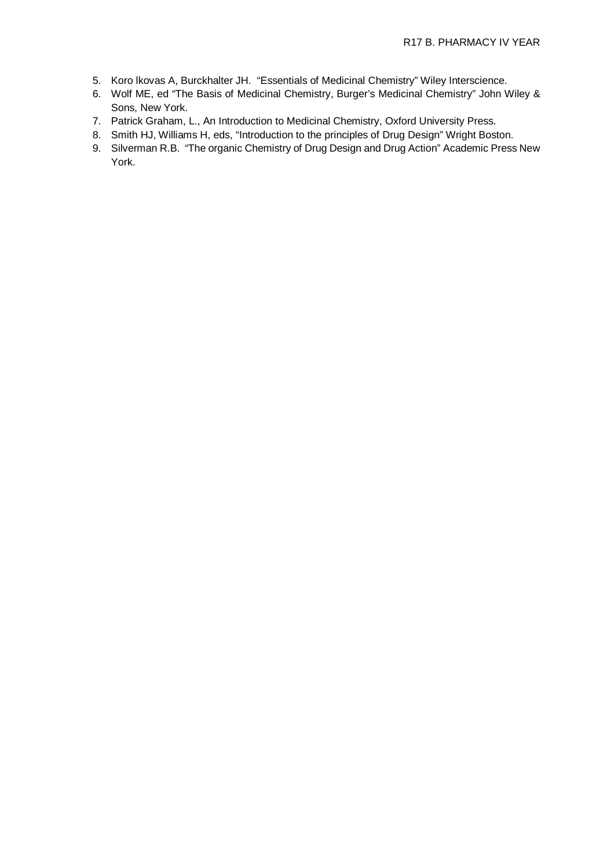- 5. Koro lkovas A, Burckhalter JH. "Essentials of Medicinal Chemistry" Wiley Interscience.
- 6. Wolf ME, ed "The Basis of Medicinal Chemistry, Burger's Medicinal Chemistry" John Wiley & Sons, New York.
- 7. Patrick Graham, L., An Introduction to Medicinal Chemistry, Oxford University Press.
- 8. Smith HJ, Williams H, eds, "Introduction to the principles of Drug Design" Wright Boston.
- 9. Silverman R.B. "The organic Chemistry of Drug Design and Drug Action" Academic Press New York.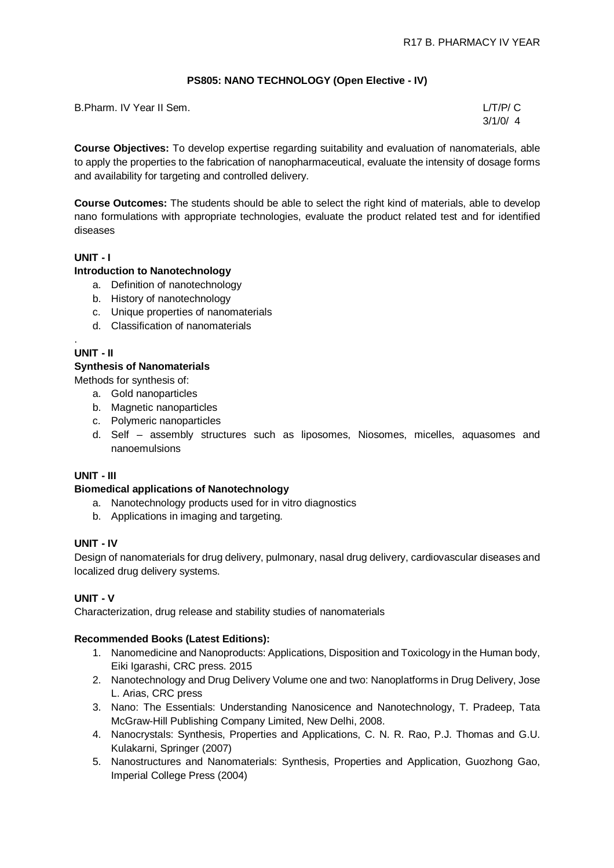# **PS805: NANO TECHNOLOGY (Open Elective - IV)**

| B.Pharm. IV Year II Sem. | L/T/P/C |
|--------------------------|---------|
|                          | 3/1/0/4 |

**Course Objectives:** To develop expertise regarding suitability and evaluation of nanomaterials, able to apply the properties to the fabrication of nanopharmaceutical, evaluate the intensity of dosage forms and availability for targeting and controlled delivery.

**Course Outcomes:** The students should be able to select the right kind of materials, able to develop nano formulations with appropriate technologies, evaluate the product related test and for identified diseases

# **UNIT - I**

### **Introduction to Nanotechnology**

- a. Definition of nanotechnology
- b. History of nanotechnology
- c. Unique properties of nanomaterials
- d. Classification of nanomaterials

### . **UNIT - II**

### **Synthesis of Nanomaterials**

Methods for synthesis of:

- a. Gold nanoparticles
- b. Magnetic nanoparticles
- c. Polymeric nanoparticles
- d. Self assembly structures such as liposomes, Niosomes, micelles, aquasomes and nanoemulsions

### **UNIT - III**

### **Biomedical applications of Nanotechnology**

- a. Nanotechnology products used for in vitro diagnostics
- b. Applications in imaging and targeting.

### **UNIT - IV**

Design of nanomaterials for drug delivery, pulmonary, nasal drug delivery, cardiovascular diseases and localized drug delivery systems.

### **UNIT - V**

Characterization, drug release and stability studies of nanomaterials

### **Recommended Books (Latest Editions):**

- 1. Nanomedicine and Nanoproducts: Applications, Disposition and Toxicology in the Human body, Eiki Igarashi, CRC press. 2015
- 2. Nanotechnology and Drug Delivery Volume one and two: Nanoplatforms in Drug Delivery, Jose L. Arias, CRC press
- 3. Nano: The Essentials: Understanding Nanosicence and Nanotechnology, T. Pradeep, Tata McGraw-Hill Publishing Company Limited, New Delhi, 2008.
- 4. Nanocrystals: Synthesis, Properties and Applications, C. N. R. Rao, P.J. Thomas and G.U. Kulakarni, Springer (2007)
- 5. Nanostructures and Nanomaterials: Synthesis, Properties and Application, Guozhong Gao, Imperial College Press (2004)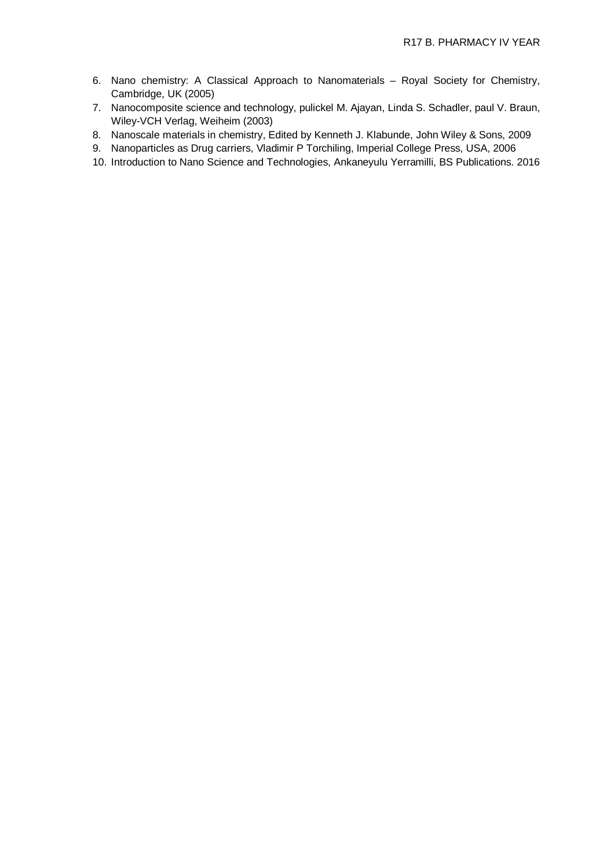- 6. Nano chemistry: A Classical Approach to Nanomaterials Royal Society for Chemistry, Cambridge, UK (2005)
- 7. Nanocomposite science and technology, pulickel M. Ajayan, Linda S. Schadler, paul V. Braun, Wiley-VCH Verlag, Weiheim (2003)
- 8. Nanoscale materials in chemistry, Edited by Kenneth J. Klabunde, John Wiley & Sons, 2009
- 9. Nanoparticles as Drug carriers, Vladimir P Torchiling, Imperial College Press, USA, 2006
- 10. Introduction to Nano Science and Technologies, Ankaneyulu Yerramilli, BS Publications. 2016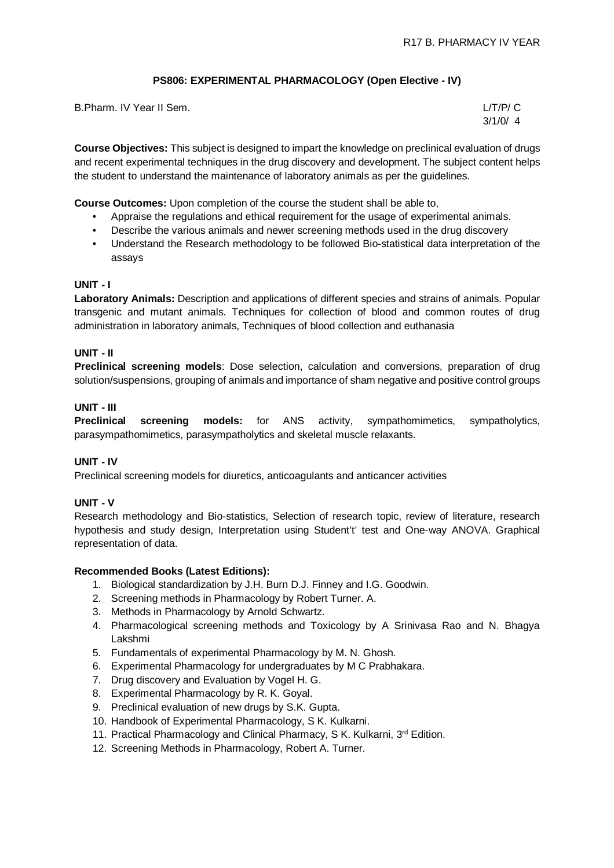### **PS806: EXPERIMENTAL PHARMACOLOGY (Open Elective - IV)**

| B.Pharm. IV Year II Sem. | L/T/P/ C |
|--------------------------|----------|
|                          | 3/1/0/4  |

**Course Objectives:** This subject is designed to impart the knowledge on preclinical evaluation of drugs and recent experimental techniques in the drug discovery and development. The subject content helps the student to understand the maintenance of laboratory animals as per the guidelines.

**Course Outcomes:** Upon completion of the course the student shall be able to,

- Appraise the regulations and ethical requirement for the usage of experimental animals.
- Describe the various animals and newer screening methods used in the drug discovery
- Understand the Research methodology to be followed Bio-statistical data interpretation of the assays

### **UNIT - I**

**Laboratory Animals:** Description and applications of different species and strains of animals. Popular transgenic and mutant animals. Techniques for collection of blood and common routes of drug administration in laboratory animals, Techniques of blood collection and euthanasia

### **UNIT - II**

**Preclinical screening models**: Dose selection, calculation and conversions, preparation of drug solution/suspensions, grouping of animals and importance of sham negative and positive control groups

### **UNIT - III**

**Preclinical screening models:** for ANS activity, sympathomimetics, sympatholytics, parasympathomimetics, parasympatholytics and skeletal muscle relaxants.

### **UNIT - IV**

Preclinical screening models for diuretics, anticoagulants and anticancer activities

### **UNIT - V**

Research methodology and Bio-statistics, Selection of research topic, review of literature, research hypothesis and study design, Interpretation using Student't' test and One-way ANOVA. Graphical representation of data.

### **Recommended Books (Latest Editions):**

- 1. Biological standardization by J.H. Burn D.J. Finney and I.G. Goodwin.
- 2. Screening methods in Pharmacology by Robert Turner. A.
- 3. Methods in Pharmacology by Arnold Schwartz.
- 4. Pharmacological screening methods and Toxicology by A Srinivasa Rao and N. Bhagya Lakshmi
- 5. Fundamentals of experimental Pharmacology by M. N. Ghosh.
- 6. Experimental Pharmacology for undergraduates by M C Prabhakara.
- 7. Drug discovery and Evaluation by Vogel H. G.
- 8. Experimental Pharmacology by R. K. Goyal.
- 9. Preclinical evaluation of new drugs by S.K. Gupta.
- 10. Handbook of Experimental Pharmacology, S K. Kulkarni.
- 11. Practical Pharmacology and Clinical Pharmacy, S K. Kulkarni, 3<sup>rd</sup> Edition.
- 12. Screening Methods in Pharmacology, Robert A. Turner.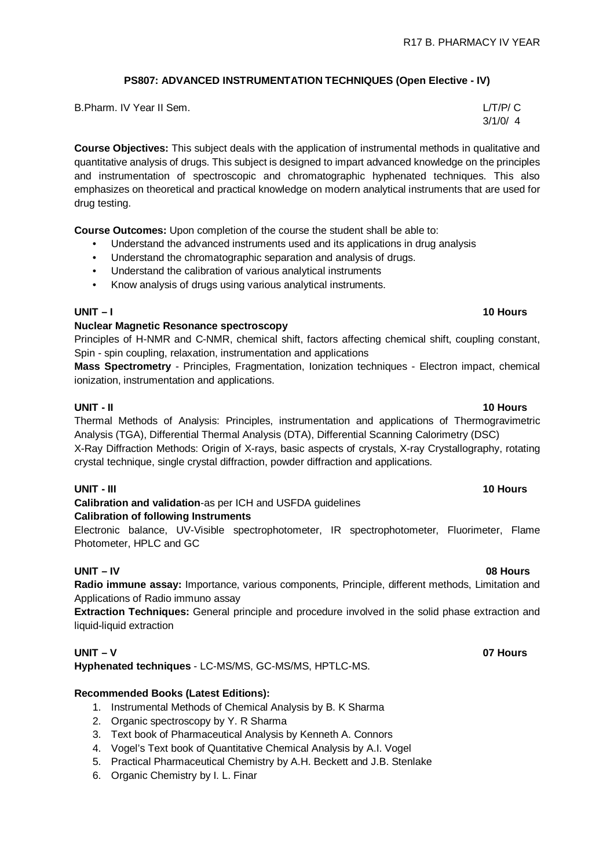# **PS807: ADVANCED INSTRUMENTATION TECHNIQUES (Open Elective - IV)**

| B.Pharm. IV Year II Sem. | L/T/P/C |
|--------------------------|---------|
|                          | 3/1/0/4 |

**Course Objectives:** This subject deals with the application of instrumental methods in qualitative and quantitative analysis of drugs. This subject is designed to impart advanced knowledge on the principles and instrumentation of spectroscopic and chromatographic hyphenated techniques. This also emphasizes on theoretical and practical knowledge on modern analytical instruments that are used for drug testing.

**Course Outcomes:** Upon completion of the course the student shall be able to:

- Understand the advanced instruments used and its applications in drug analysis
- Understand the chromatographic separation and analysis of drugs.
- Understand the calibration of various analytical instruments
- Know analysis of drugs using various analytical instruments.

### **UNIT – I 10 Hours**

### **Nuclear Magnetic Resonance spectroscopy**

Principles of H-NMR and C-NMR, chemical shift, factors affecting chemical shift, coupling constant, Spin - spin coupling, relaxation, instrumentation and applications

**Mass Spectrometry** - Principles, Fragmentation, Ionization techniques - Electron impact, chemical ionization, instrumentation and applications.

### **UNIT - II 10 Hours**

Thermal Methods of Analysis: Principles, instrumentation and applications of Thermogravimetric Analysis (TGA), Differential Thermal Analysis (DTA), Differential Scanning Calorimetry (DSC) X-Ray Diffraction Methods: Origin of X-rays, basic aspects of crystals, X-ray Crystallography, rotating crystal technique, single crystal diffraction, powder diffraction and applications.

### **UNIT - III 10 Hours**

### **Calibration and validation**-as per ICH and USFDA guidelines **Calibration of following Instruments**

Electronic balance, UV-Visible spectrophotometer, IR spectrophotometer, Fluorimeter, Flame Photometer, HPLC and GC

### **UNIT – IV 08 Hours**

**Radio immune assay:** Importance, various components, Principle, different methods, Limitation and Applications of Radio immuno assay

**Extraction Techniques:** General principle and procedure involved in the solid phase extraction and liquid-liquid extraction

# **UNIT – V 07 Hours**

**Hyphenated techniques** - LC-MS/MS, GC-MS/MS, HPTLC-MS.

### **Recommended Books (Latest Editions):**

- 1. Instrumental Methods of Chemical Analysis by B. K Sharma
- 2. Organic spectroscopy by Y. R Sharma
- 3. Text book of Pharmaceutical Analysis by Kenneth A. Connors
- 4. Vogel's Text book of Quantitative Chemical Analysis by A.I. Vogel
- 5. Practical Pharmaceutical Chemistry by A.H. Beckett and J.B. Stenlake
- 6. Organic Chemistry by I. L. Finar